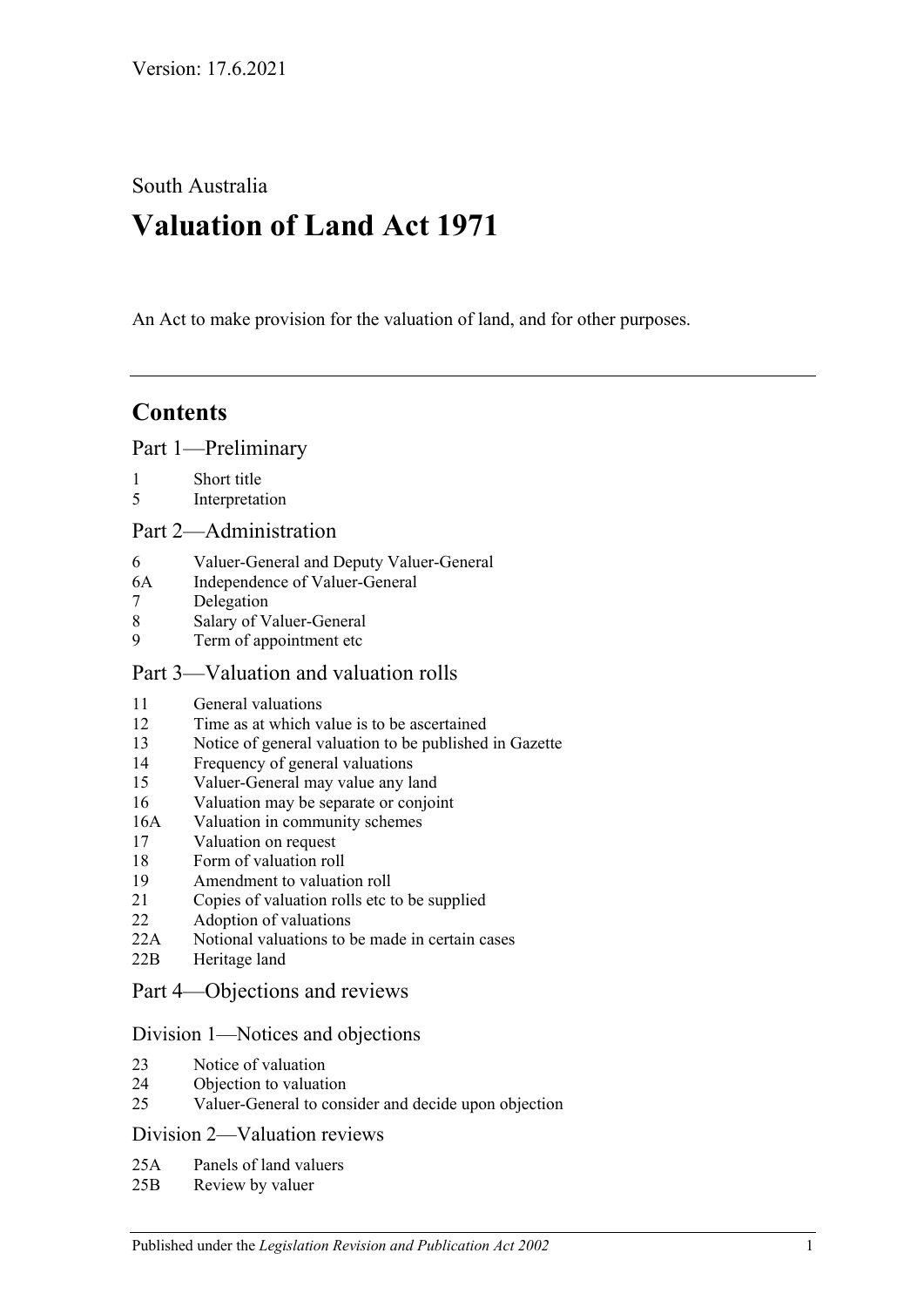South Australia

# **Valuation of Land Act 1971**

An Act to make provision for the valuation of land, and for other purposes.

# **Contents**

[Part 1—Preliminary](#page-1-0)

- 1 [Short title](#page-1-1)
- 5 [Interpretation](#page-1-2)

### [Part 2—Administration](#page-4-0)

- 6 [Valuer-General and Deputy Valuer-General](#page-4-1)
- 6A [Independence of Valuer-General](#page-4-2)
- 7 [Delegation](#page-4-3)
- 8 [Salary of Valuer-General](#page-4-4)<br>9 Term of appointment etc
- [Term of appointment etc](#page-4-5)

### [Part 3—Valuation and valuation rolls](#page-6-0)

- 11 General [valuations](#page-6-1)
- 12 [Time as at which value is to be ascertained](#page-6-2)
- 13 [Notice of general valuation to be published in Gazette](#page-6-3)
- 14 [Frequency of general valuations](#page-6-4)
- 15 [Valuer-General may value any land](#page-7-0)
- 16 [Valuation may be separate or conjoint](#page-7-1)
- 16A [Valuation in community schemes](#page-7-2)
- 17 [Valuation on request](#page-7-3)
- 18 [Form of valuation roll](#page-8-0)
- 19 [Amendment to valuation roll](#page-8-1)
- 21 [Copies of valuation rolls etc to be supplied](#page-9-0)
- 22 [Adoption of valuations](#page-9-1)
- 22A [Notional valuations to be made in certain cases](#page-9-2)
- 22B [Heritage land](#page-11-0)

## [Part 4—Objections and reviews](#page-12-0)

#### [Division 1—Notices and objections](#page-12-1)

- 23 [Notice of valuation](#page-12-2)
- 24 [Objection to valuation](#page-12-3)
- 25 [Valuer-General to consider and decide upon objection](#page-13-0)

#### [Division 2—Valuation reviews](#page-13-1)

- 25A [Panels of land valuers](#page-13-2)
- 25B [Review by valuer](#page-14-0)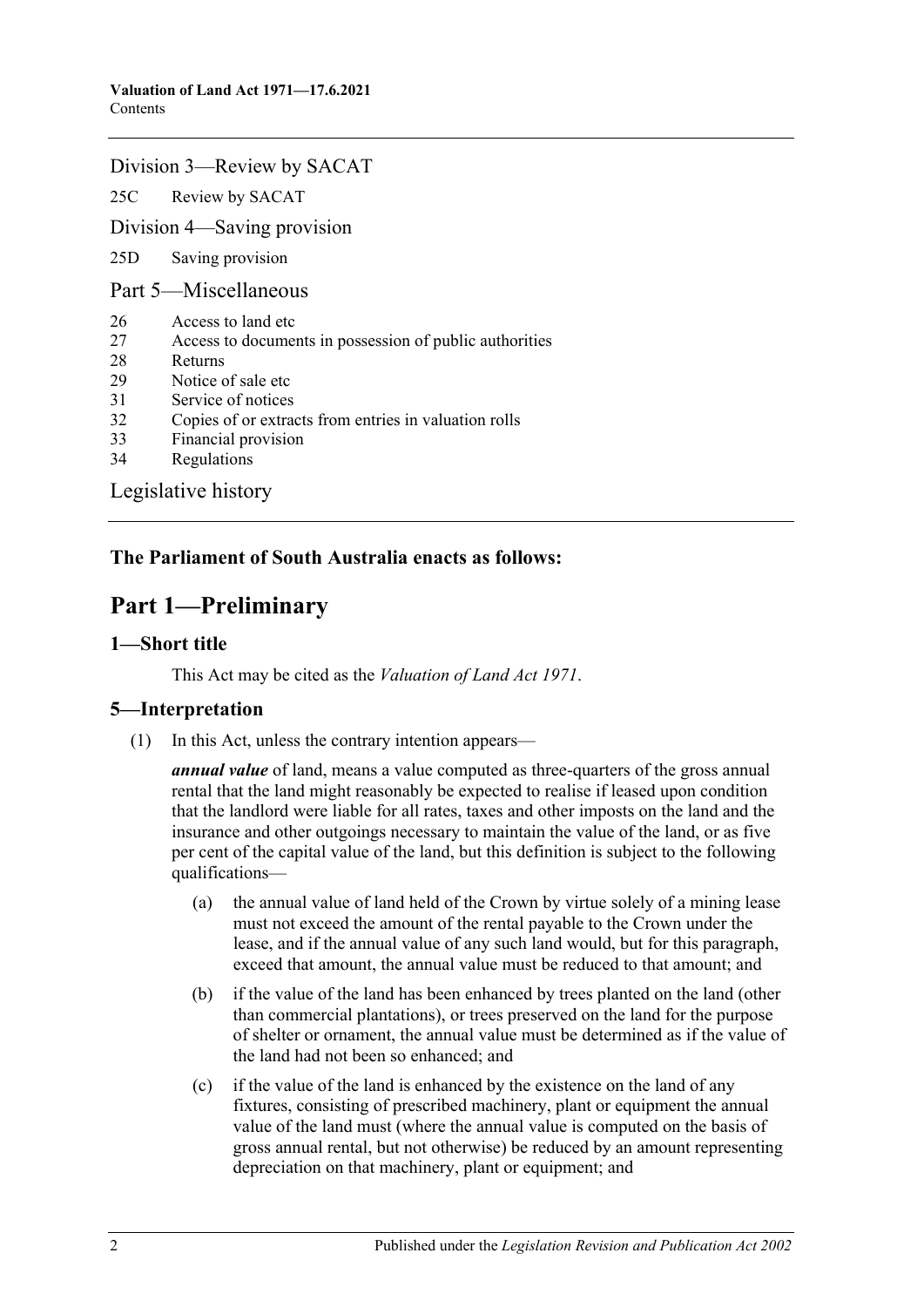#### [Division 3—Review by SACAT](#page-15-0)

25C [Review by SACAT](#page-15-1)

[Division 4—Saving provision](#page-16-0)

25D [Saving provision](#page-16-1)

[Part 5—Miscellaneous](#page-16-2)

- 26 [Access to land etc](#page-16-3)
- 27 [Access to documents in possession of public authorities](#page-16-4)
- 28 [Returns](#page-16-5)
- 29 [Notice of sale etc](#page-17-0)
- 31 [Service of notices](#page-17-1)
- 32 [Copies of or extracts from entries in valuation rolls](#page-17-2)
- 33 [Financial provision](#page-18-0)
- 34 [Regulations](#page-18-1)

[Legislative history](#page-19-0)

## <span id="page-1-0"></span>**The Parliament of South Australia enacts as follows:**

# **Part 1—Preliminary**

#### <span id="page-1-1"></span>**1—Short title**

This Act may be cited as the *Valuation of Land Act 1971*.

#### <span id="page-1-2"></span>**5—Interpretation**

(1) In this Act, unless the contrary intention appears—

*annual value* of land, means a value computed as three-quarters of the gross annual rental that the land might reasonably be expected to realise if leased upon condition that the landlord were liable for all rates, taxes and other imposts on the land and the insurance and other outgoings necessary to maintain the value of the land, or as five per cent of the capital value of the land, but this definition is subject to the following qualifications—

- (a) the annual value of land held of the Crown by virtue solely of a mining lease must not exceed the amount of the rental payable to the Crown under the lease, and if the annual value of any such land would, but for this paragraph, exceed that amount, the annual value must be reduced to that amount; and
- (b) if the value of the land has been enhanced by trees planted on the land (other than commercial plantations), or trees preserved on the land for the purpose of shelter or ornament, the annual value must be determined as if the value of the land had not been so enhanced; and
- (c) if the value of the land is enhanced by the existence on the land of any fixtures, consisting of prescribed machinery, plant or equipment the annual value of the land must (where the annual value is computed on the basis of gross annual rental, but not otherwise) be reduced by an amount representing depreciation on that machinery, plant or equipment; and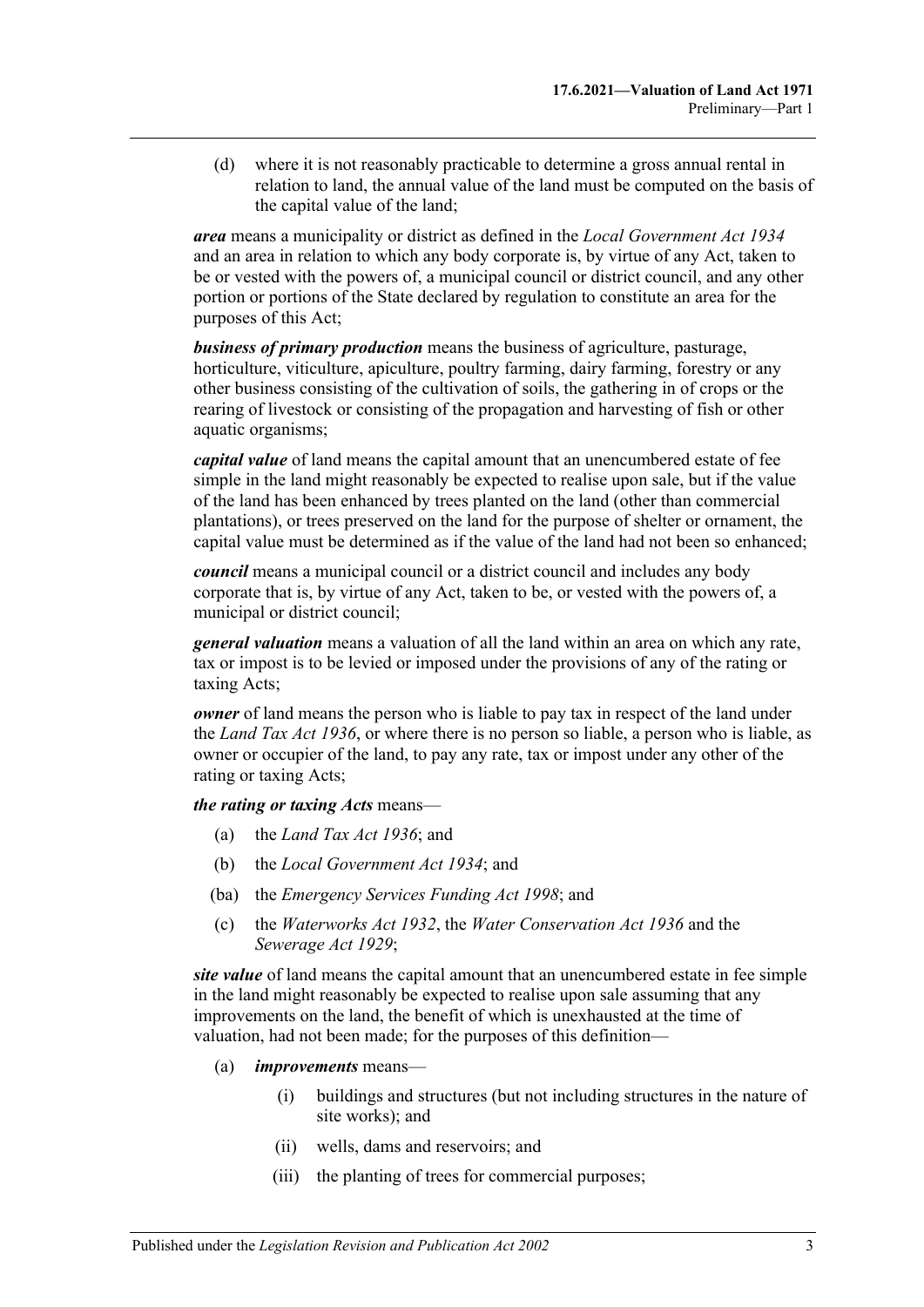(d) where it is not reasonably practicable to determine a gross annual rental in relation to land, the annual value of the land must be computed on the basis of the capital value of the land;

*area* means a municipality or district as defined in the *[Local Government Act](http://www.legislation.sa.gov.au/index.aspx?action=legref&type=act&legtitle=Local%20Government%20Act%201934) 1934* and an area in relation to which any body corporate is, by virtue of any Act, taken to be or vested with the powers of, a municipal council or district council, and any other portion or portions of the State declared by regulation to constitute an area for the purposes of this Act;

*business of primary production* means the business of agriculture, pasturage, horticulture, viticulture, apiculture, poultry farming, dairy farming, forestry or any other business consisting of the cultivation of soils, the gathering in of crops or the rearing of livestock or consisting of the propagation and harvesting of fish or other aquatic organisms;

*capital value* of land means the capital amount that an unencumbered estate of fee simple in the land might reasonably be expected to realise upon sale, but if the value of the land has been enhanced by trees planted on the land (other than commercial plantations), or trees preserved on the land for the purpose of shelter or ornament, the capital value must be determined as if the value of the land had not been so enhanced;

*council* means a municipal council or a district council and includes any body corporate that is, by virtue of any Act, taken to be, or vested with the powers of, a municipal or district council;

*general valuation* means a valuation of all the land within an area on which any rate, tax or impost is to be levied or imposed under the provisions of any of the rating or taxing Acts;

*owner* of land means the person who is liable to pay tax in respect of the land under the *[Land Tax Act](http://www.legislation.sa.gov.au/index.aspx?action=legref&type=act&legtitle=Land%20Tax%20Act%201936) 1936*, or where there is no person so liable, a person who is liable, as owner or occupier of the land, to pay any rate, tax or impost under any other of the rating or taxing Acts;

*the rating or taxing Acts* means—

- (a) the *[Land Tax Act](http://www.legislation.sa.gov.au/index.aspx?action=legref&type=act&legtitle=Land%20Tax%20Act%201936) 1936*; and
- (b) the *[Local Government Act](http://www.legislation.sa.gov.au/index.aspx?action=legref&type=act&legtitle=Local%20Government%20Act%201934) 1934*; and
- (ba) the *[Emergency Services Funding Act](http://www.legislation.sa.gov.au/index.aspx?action=legref&type=act&legtitle=Emergency%20Services%20Funding%20Act%201998) 1998*; and
- (c) the *[Waterworks Act](http://www.legislation.sa.gov.au/index.aspx?action=legref&type=act&legtitle=Waterworks%20Act%201932) 1932*, the *[Water Conservation Act](http://www.legislation.sa.gov.au/index.aspx?action=legref&type=act&legtitle=Water%20Conservation%20Act%201936) 1936* and the *[Sewerage Act](http://www.legislation.sa.gov.au/index.aspx?action=legref&type=act&legtitle=Sewerage%20Act%201929) 1929*;

*site value* of land means the capital amount that an unencumbered estate in fee simple in the land might reasonably be expected to realise upon sale assuming that any improvements on the land, the benefit of which is unexhausted at the time of valuation, had not been made; for the purposes of this definition—

- (a) *improvements* means—
	- (i) buildings and structures (but not including structures in the nature of site works); and
	- (ii) wells, dams and reservoirs; and
	- (iii) the planting of trees for commercial purposes;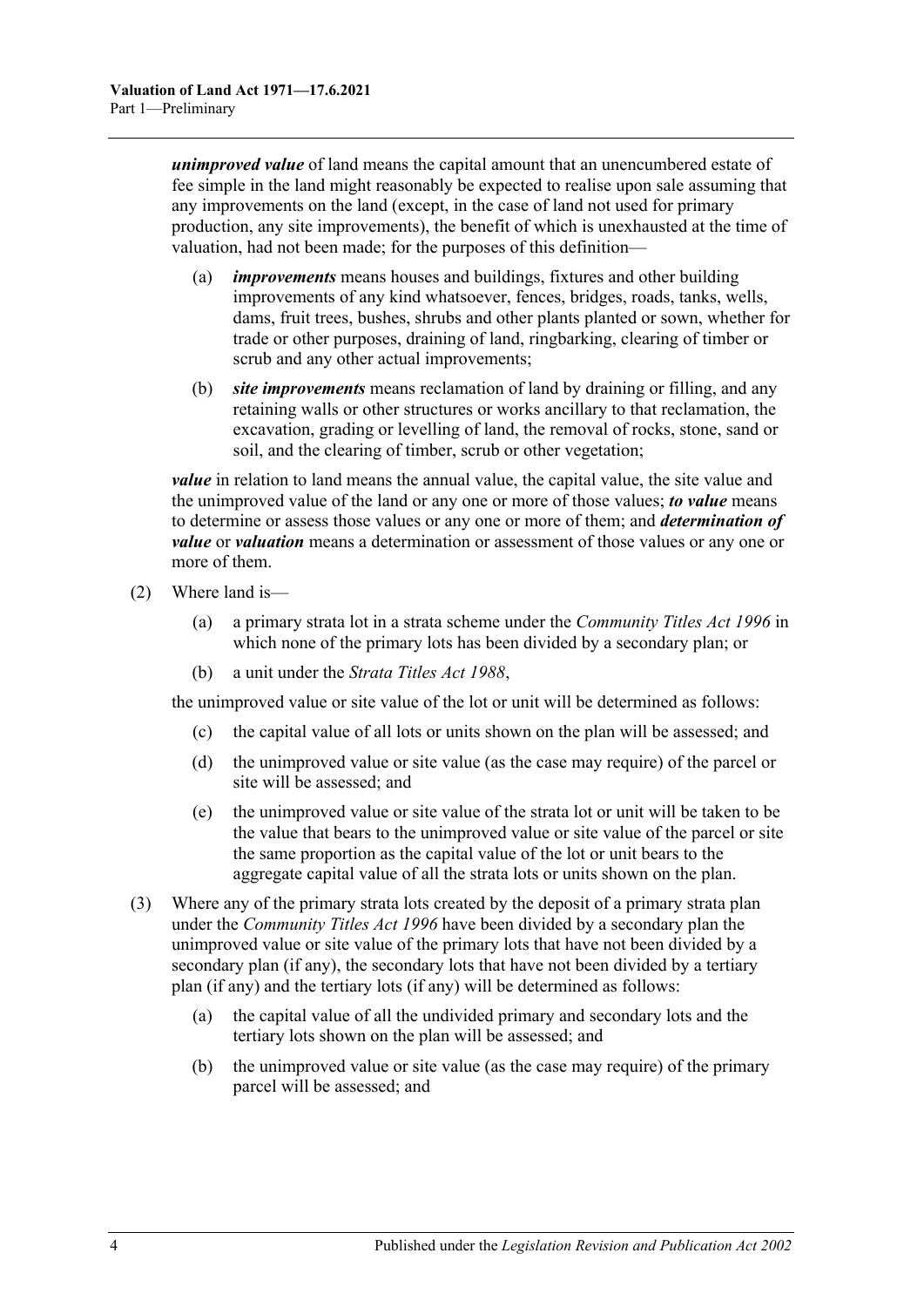*unimproved value* of land means the capital amount that an unencumbered estate of fee simple in the land might reasonably be expected to realise upon sale assuming that any improvements on the land (except, in the case of land not used for primary production, any site improvements), the benefit of which is unexhausted at the time of valuation, had not been made; for the purposes of this definition—

- (a) *improvements* means houses and buildings, fixtures and other building improvements of any kind whatsoever, fences, bridges, roads, tanks, wells, dams, fruit trees, bushes, shrubs and other plants planted or sown, whether for trade or other purposes, draining of land, ringbarking, clearing of timber or scrub and any other actual improvements;
- (b) *site improvements* means reclamation of land by draining or filling, and any retaining walls or other structures or works ancillary to that reclamation, the excavation, grading or levelling of land, the removal of rocks, stone, sand or soil, and the clearing of timber, scrub or other vegetation;

*value* in relation to land means the annual value, the capital value, the site value and the unimproved value of the land or any one or more of those values; *to value* means to determine or assess those values or any one or more of them; and *determination of value* or *valuation* means a determination or assessment of those values or any one or more of them.

- (2) Where land is—
	- (a) a primary strata lot in a strata scheme under the *[Community Titles Act](http://www.legislation.sa.gov.au/index.aspx?action=legref&type=act&legtitle=Community%20Titles%20Act%201996) 1996* in which none of the primary lots has been divided by a secondary plan; or
	- (b) a unit under the *[Strata Titles Act](http://www.legislation.sa.gov.au/index.aspx?action=legref&type=act&legtitle=Strata%20Titles%20Act%201988) 1988*,

the unimproved value or site value of the lot or unit will be determined as follows:

- (c) the capital value of all lots or units shown on the plan will be assessed; and
- (d) the unimproved value or site value (as the case may require) of the parcel or site will be assessed; and
- (e) the unimproved value or site value of the strata lot or unit will be taken to be the value that bears to the unimproved value or site value of the parcel or site the same proportion as the capital value of the lot or unit bears to the aggregate capital value of all the strata lots or units shown on the plan.
- (3) Where any of the primary strata lots created by the deposit of a primary strata plan under the *[Community Titles Act](http://www.legislation.sa.gov.au/index.aspx?action=legref&type=act&legtitle=Community%20Titles%20Act%201996) 1996* have been divided by a secondary plan the unimproved value or site value of the primary lots that have not been divided by a secondary plan (if any), the secondary lots that have not been divided by a tertiary plan (if any) and the tertiary lots (if any) will be determined as follows:
	- (a) the capital value of all the undivided primary and secondary lots and the tertiary lots shown on the plan will be assessed; and
	- (b) the unimproved value or site value (as the case may require) of the primary parcel will be assessed; and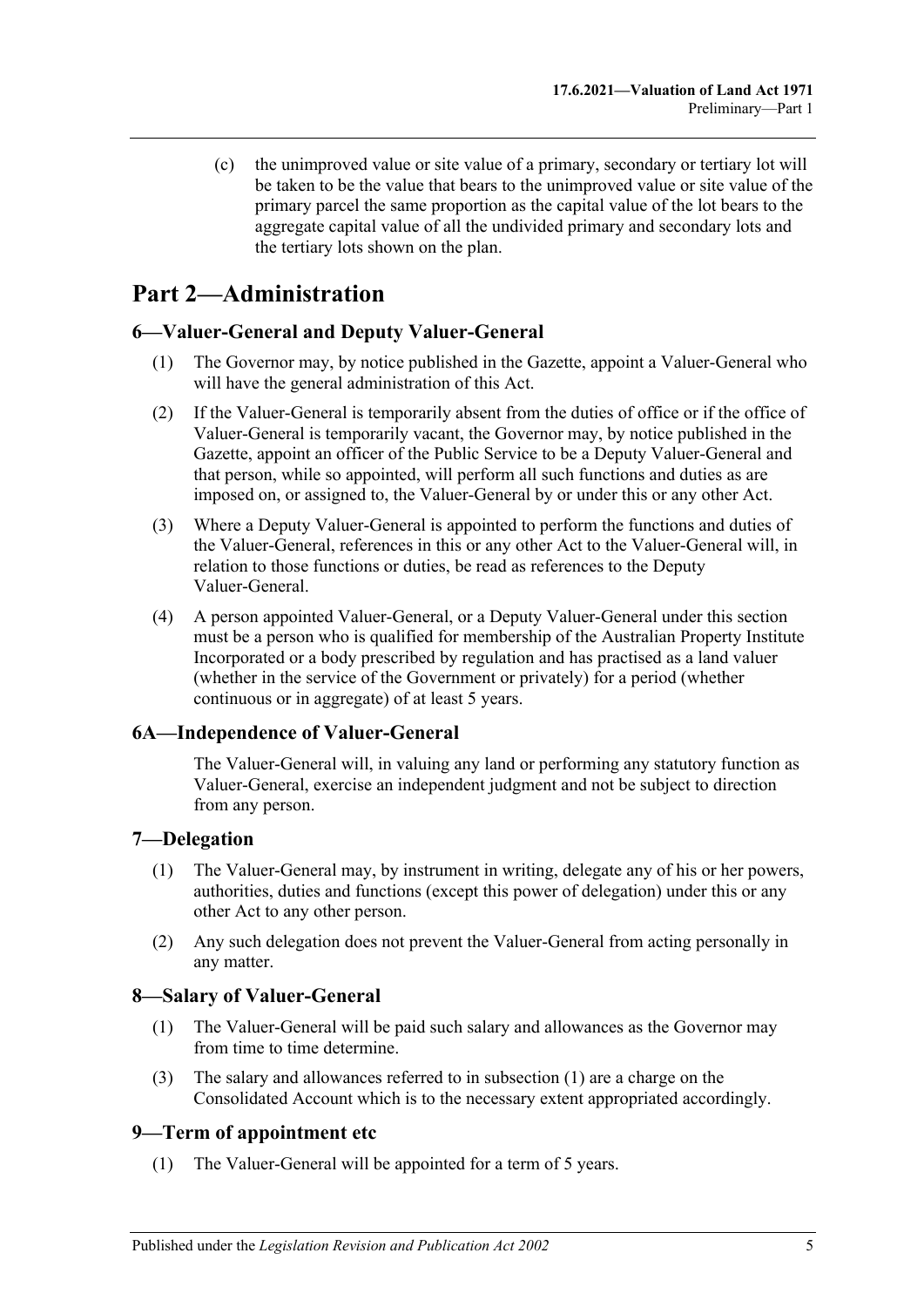(c) the unimproved value or site value of a primary, secondary or tertiary lot will be taken to be the value that bears to the unimproved value or site value of the primary parcel the same proportion as the capital value of the lot bears to the aggregate capital value of all the undivided primary and secondary lots and the tertiary lots shown on the plan.

# <span id="page-4-0"></span>**Part 2—Administration**

## <span id="page-4-1"></span>**6—Valuer-General and Deputy Valuer-General**

- (1) The Governor may, by notice published in the Gazette, appoint a Valuer-General who will have the general administration of this Act.
- (2) If the Valuer-General is temporarily absent from the duties of office or if the office of Valuer-General is temporarily vacant, the Governor may, by notice published in the Gazette, appoint an officer of the Public Service to be a Deputy Valuer-General and that person, while so appointed, will perform all such functions and duties as are imposed on, or assigned to, the Valuer-General by or under this or any other Act.
- (3) Where a Deputy Valuer-General is appointed to perform the functions and duties of the Valuer-General, references in this or any other Act to the Valuer-General will, in relation to those functions or duties, be read as references to the Deputy Valuer-General.
- (4) A person appointed Valuer-General, or a Deputy Valuer-General under this section must be a person who is qualified for membership of the Australian Property Institute Incorporated or a body prescribed by regulation and has practised as a land valuer (whether in the service of the Government or privately) for a period (whether continuous or in aggregate) of at least 5 years.

### <span id="page-4-2"></span>**6A—Independence of Valuer-General**

The Valuer-General will, in valuing any land or performing any statutory function as Valuer-General, exercise an independent judgment and not be subject to direction from any person.

### <span id="page-4-3"></span>**7—Delegation**

- (1) The Valuer-General may, by instrument in writing, delegate any of his or her powers, authorities, duties and functions (except this power of delegation) under this or any other Act to any other person.
- (2) Any such delegation does not prevent the Valuer-General from acting personally in any matter.

### <span id="page-4-6"></span><span id="page-4-4"></span>**8—Salary of Valuer-General**

- (1) The Valuer-General will be paid such salary and allowances as the Governor may from time to time determine.
- (3) The salary and allowances referred to in [subsection](#page-4-6) (1) are a charge on the Consolidated Account which is to the necessary extent appropriated accordingly.

### <span id="page-4-5"></span>**9—Term of appointment etc**

(1) The Valuer-General will be appointed for a term of 5 years.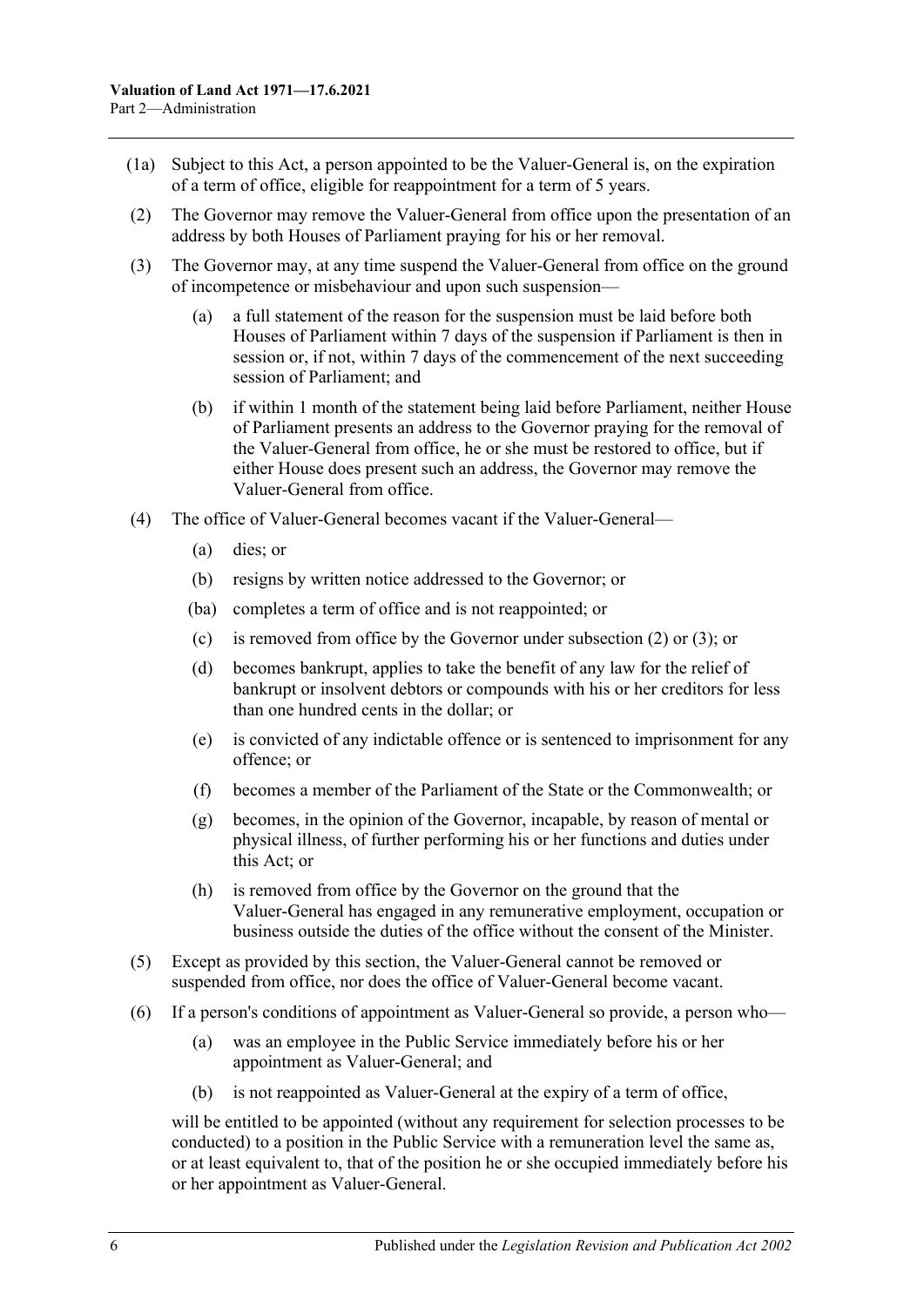- (1a) Subject to this Act, a person appointed to be the Valuer-General is, on the expiration of a term of office, eligible for reappointment for a term of 5 years.
- <span id="page-5-0"></span>(2) The Governor may remove the Valuer-General from office upon the presentation of an address by both Houses of Parliament praying for his or her removal.
- <span id="page-5-1"></span>(3) The Governor may, at any time suspend the Valuer-General from office on the ground of incompetence or misbehaviour and upon such suspension—
	- (a) a full statement of the reason for the suspension must be laid before both Houses of Parliament within 7 days of the suspension if Parliament is then in session or, if not, within 7 days of the commencement of the next succeeding session of Parliament; and
	- (b) if within 1 month of the statement being laid before Parliament, neither House of Parliament presents an address to the Governor praying for the removal of the Valuer-General from office, he or she must be restored to office, but if either House does present such an address, the Governor may remove the Valuer-General from office.
- (4) The office of Valuer-General becomes vacant if the Valuer-General—
	- (a) dies; or
	- (b) resigns by written notice addressed to the Governor; or
	- (ba) completes a term of office and is not reappointed; or
	- (c) is removed from office by the Governor under [subsection](#page-5-0) (2) or [\(3\);](#page-5-1) or
	- (d) becomes bankrupt, applies to take the benefit of any law for the relief of bankrupt or insolvent debtors or compounds with his or her creditors for less than one hundred cents in the dollar; or
	- (e) is convicted of any indictable offence or is sentenced to imprisonment for any offence; or
	- (f) becomes a member of the Parliament of the State or the Commonwealth; or
	- (g) becomes, in the opinion of the Governor, incapable, by reason of mental or physical illness, of further performing his or her functions and duties under this Act; or
	- (h) is removed from office by the Governor on the ground that the Valuer-General has engaged in any remunerative employment, occupation or business outside the duties of the office without the consent of the Minister.
- (5) Except as provided by this section, the Valuer-General cannot be removed or suspended from office, nor does the office of Valuer-General become vacant.
- (6) If a person's conditions of appointment as Valuer-General so provide, a person who—
	- (a) was an employee in the Public Service immediately before his or her appointment as Valuer-General; and
	- (b) is not reappointed as Valuer-General at the expiry of a term of office,

will be entitled to be appointed (without any requirement for selection processes to be conducted) to a position in the Public Service with a remuneration level the same as, or at least equivalent to, that of the position he or she occupied immediately before his or her appointment as Valuer-General.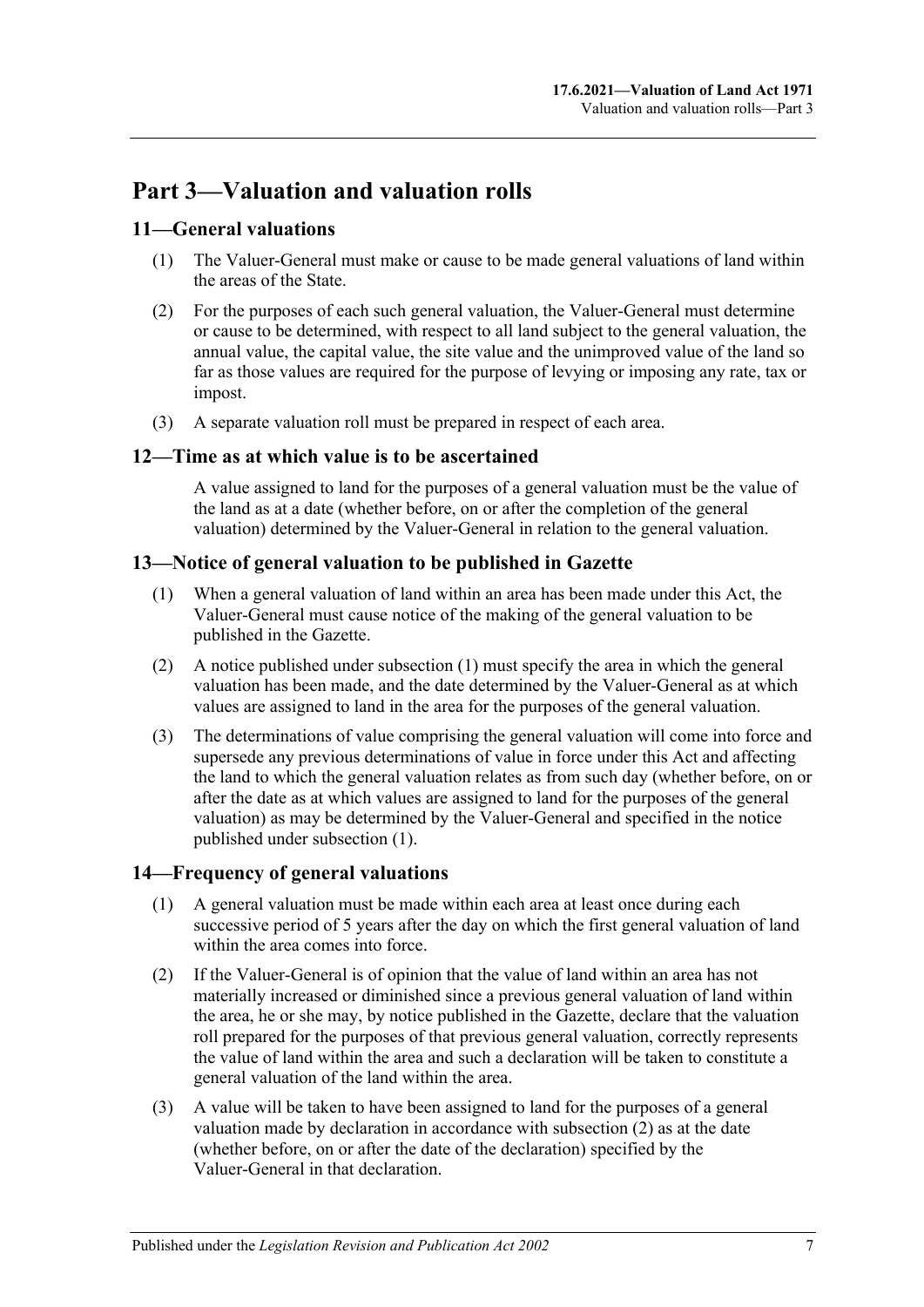# <span id="page-6-0"></span>**Part 3—Valuation and valuation rolls**

## <span id="page-6-1"></span>**11—General valuations**

- (1) The Valuer-General must make or cause to be made general valuations of land within the areas of the State.
- (2) For the purposes of each such general valuation, the Valuer-General must determine or cause to be determined, with respect to all land subject to the general valuation, the annual value, the capital value, the site value and the unimproved value of the land so far as those values are required for the purpose of levying or imposing any rate, tax or impost.
- (3) A separate valuation roll must be prepared in respect of each area.

### <span id="page-6-2"></span>**12—Time as at which value is to be ascertained**

A value assigned to land for the purposes of a general valuation must be the value of the land as at a date (whether before, on or after the completion of the general valuation) determined by the Valuer-General in relation to the general valuation.

### <span id="page-6-5"></span><span id="page-6-3"></span>**13—Notice of general valuation to be published in Gazette**

- (1) When a general valuation of land within an area has been made under this Act, the Valuer-General must cause notice of the making of the general valuation to be published in the Gazette.
- (2) A notice published under [subsection](#page-6-5) (1) must specify the area in which the general valuation has been made, and the date determined by the Valuer-General as at which values are assigned to land in the area for the purposes of the general valuation.
- (3) The determinations of value comprising the general valuation will come into force and supersede any previous determinations of value in force under this Act and affecting the land to which the general valuation relates as from such day (whether before, on or after the date as at which values are assigned to land for the purposes of the general valuation) as may be determined by the Valuer-General and specified in the notice published under [subsection](#page-6-5) (1).

### <span id="page-6-4"></span>**14—Frequency of general valuations**

- (1) A general valuation must be made within each area at least once during each successive period of 5 years after the day on which the first general valuation of land within the area comes into force.
- <span id="page-6-6"></span>(2) If the Valuer-General is of opinion that the value of land within an area has not materially increased or diminished since a previous general valuation of land within the area, he or she may, by notice published in the Gazette, declare that the valuation roll prepared for the purposes of that previous general valuation, correctly represents the value of land within the area and such a declaration will be taken to constitute a general valuation of the land within the area.
- (3) A value will be taken to have been assigned to land for the purposes of a general valuation made by declaration in accordance with [subsection](#page-6-6) (2) as at the date (whether before, on or after the date of the declaration) specified by the Valuer-General in that declaration.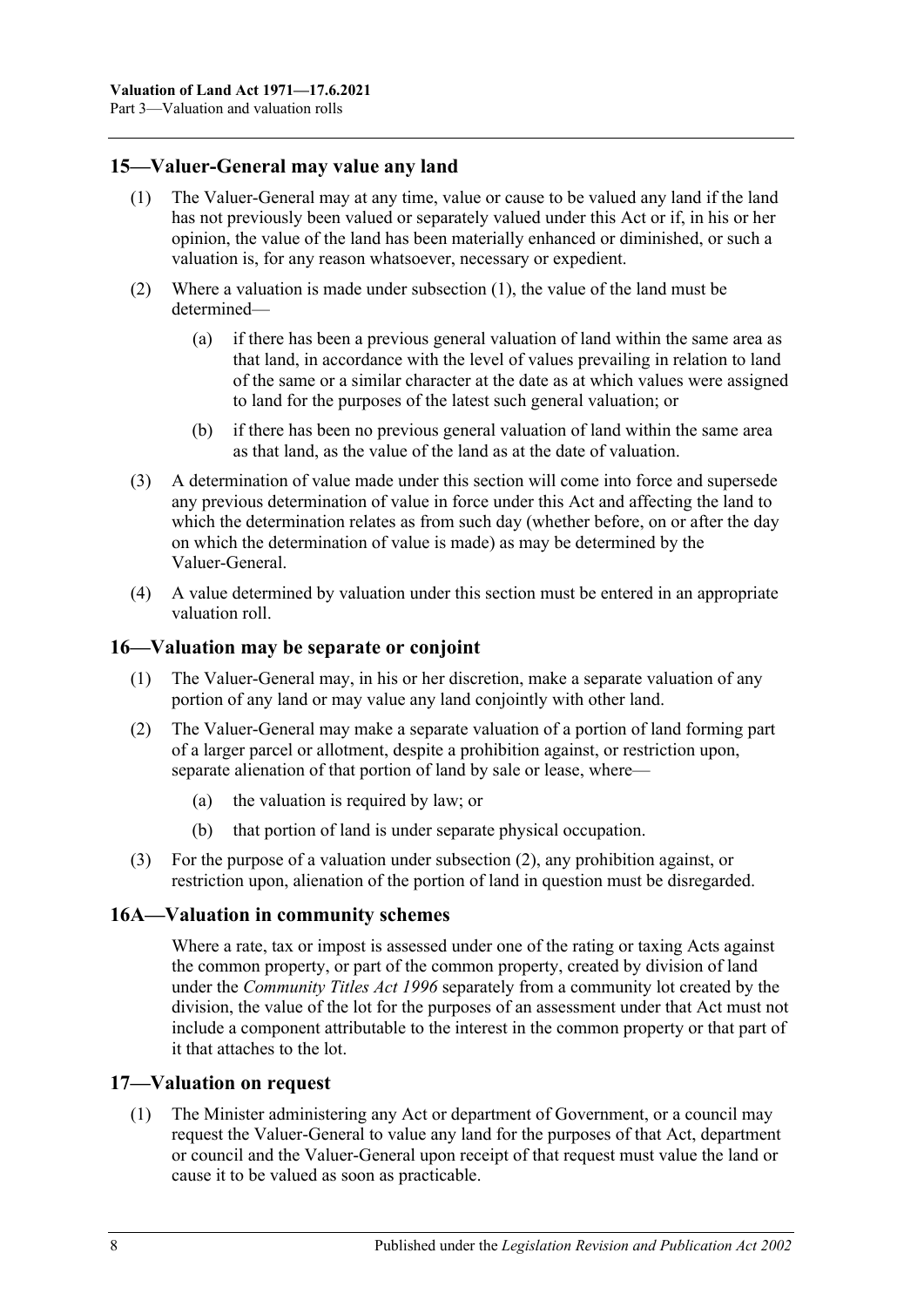### <span id="page-7-4"></span><span id="page-7-0"></span>**15—Valuer-General may value any land**

- (1) The Valuer-General may at any time, value or cause to be valued any land if the land has not previously been valued or separately valued under this Act or if, in his or her opinion, the value of the land has been materially enhanced or diminished, or such a valuation is, for any reason whatsoever, necessary or expedient.
- (2) Where a valuation is made under [subsection](#page-7-4) (1), the value of the land must be determined—
	- (a) if there has been a previous general valuation of land within the same area as that land, in accordance with the level of values prevailing in relation to land of the same or a similar character at the date as at which values were assigned to land for the purposes of the latest such general valuation; or
	- (b) if there has been no previous general valuation of land within the same area as that land, as the value of the land as at the date of valuation.
- (3) A determination of value made under this section will come into force and supersede any previous determination of value in force under this Act and affecting the land to which the determination relates as from such day (whether before, on or after the day on which the determination of value is made) as may be determined by the Valuer-General.
- (4) A value determined by valuation under this section must be entered in an appropriate valuation roll.

#### <span id="page-7-1"></span>**16—Valuation may be separate or conjoint**

- (1) The Valuer-General may, in his or her discretion, make a separate valuation of any portion of any land or may value any land conjointly with other land.
- <span id="page-7-5"></span>(2) The Valuer-General may make a separate valuation of a portion of land forming part of a larger parcel or allotment, despite a prohibition against, or restriction upon, separate alienation of that portion of land by sale or lease, where—
	- (a) the valuation is required by law; or
	- (b) that portion of land is under separate physical occupation.
- (3) For the purpose of a valuation under [subsection](#page-7-5) (2), any prohibition against, or restriction upon, alienation of the portion of land in question must be disregarded.

### <span id="page-7-2"></span>**16A—Valuation in community schemes**

Where a rate, tax or impost is assessed under one of the rating or taxing Acts against the common property, or part of the common property, created by division of land under the *[Community Titles Act](http://www.legislation.sa.gov.au/index.aspx?action=legref&type=act&legtitle=Community%20Titles%20Act%201996) 1996* separately from a community lot created by the division, the value of the lot for the purposes of an assessment under that Act must not include a component attributable to the interest in the common property or that part of it that attaches to the lot.

#### <span id="page-7-6"></span><span id="page-7-3"></span>**17—Valuation on request**

(1) The Minister administering any Act or department of Government, or a council may request the Valuer-General to value any land for the purposes of that Act, department or council and the Valuer-General upon receipt of that request must value the land or cause it to be valued as soon as practicable.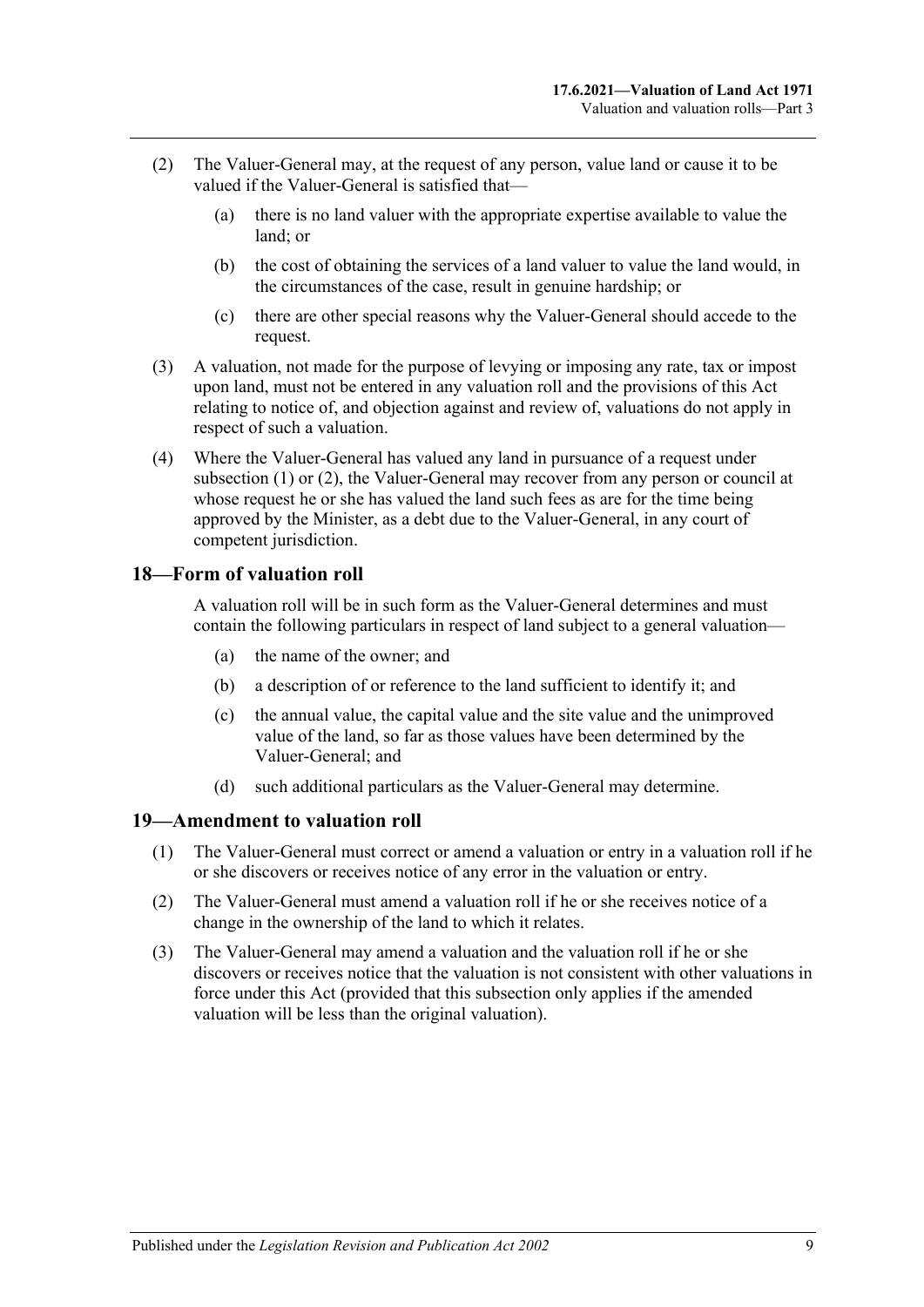- <span id="page-8-2"></span>(2) The Valuer-General may, at the request of any person, value land or cause it to be valued if the Valuer-General is satisfied that—
	- (a) there is no land valuer with the appropriate expertise available to value the land; or
	- (b) the cost of obtaining the services of a land valuer to value the land would, in the circumstances of the case, result in genuine hardship; or
	- (c) there are other special reasons why the Valuer-General should accede to the request.
- (3) A valuation, not made for the purpose of levying or imposing any rate, tax or impost upon land, must not be entered in any valuation roll and the provisions of this Act relating to notice of, and objection against and review of, valuations do not apply in respect of such a valuation.
- (4) Where the Valuer-General has valued any land in pursuance of a request under [subsection](#page-7-6) (1) or [\(2\),](#page-8-2) the Valuer-General may recover from any person or council at whose request he or she has valued the land such fees as are for the time being approved by the Minister, as a debt due to the Valuer-General, in any court of competent jurisdiction.

### <span id="page-8-0"></span>**18—Form of valuation roll**

A valuation roll will be in such form as the Valuer-General determines and must contain the following particulars in respect of land subject to a general valuation—

- (a) the name of the owner; and
- (b) a description of or reference to the land sufficient to identify it; and
- (c) the annual value, the capital value and the site value and the unimproved value of the land, so far as those values have been determined by the Valuer-General; and
- (d) such additional particulars as the Valuer-General may determine.

#### <span id="page-8-1"></span>**19—Amendment to valuation roll**

- (1) The Valuer-General must correct or amend a valuation or entry in a valuation roll if he or she discovers or receives notice of any error in the valuation or entry.
- (2) The Valuer-General must amend a valuation roll if he or she receives notice of a change in the ownership of the land to which it relates.
- (3) The Valuer-General may amend a valuation and the valuation roll if he or she discovers or receives notice that the valuation is not consistent with other valuations in force under this Act (provided that this subsection only applies if the amended valuation will be less than the original valuation).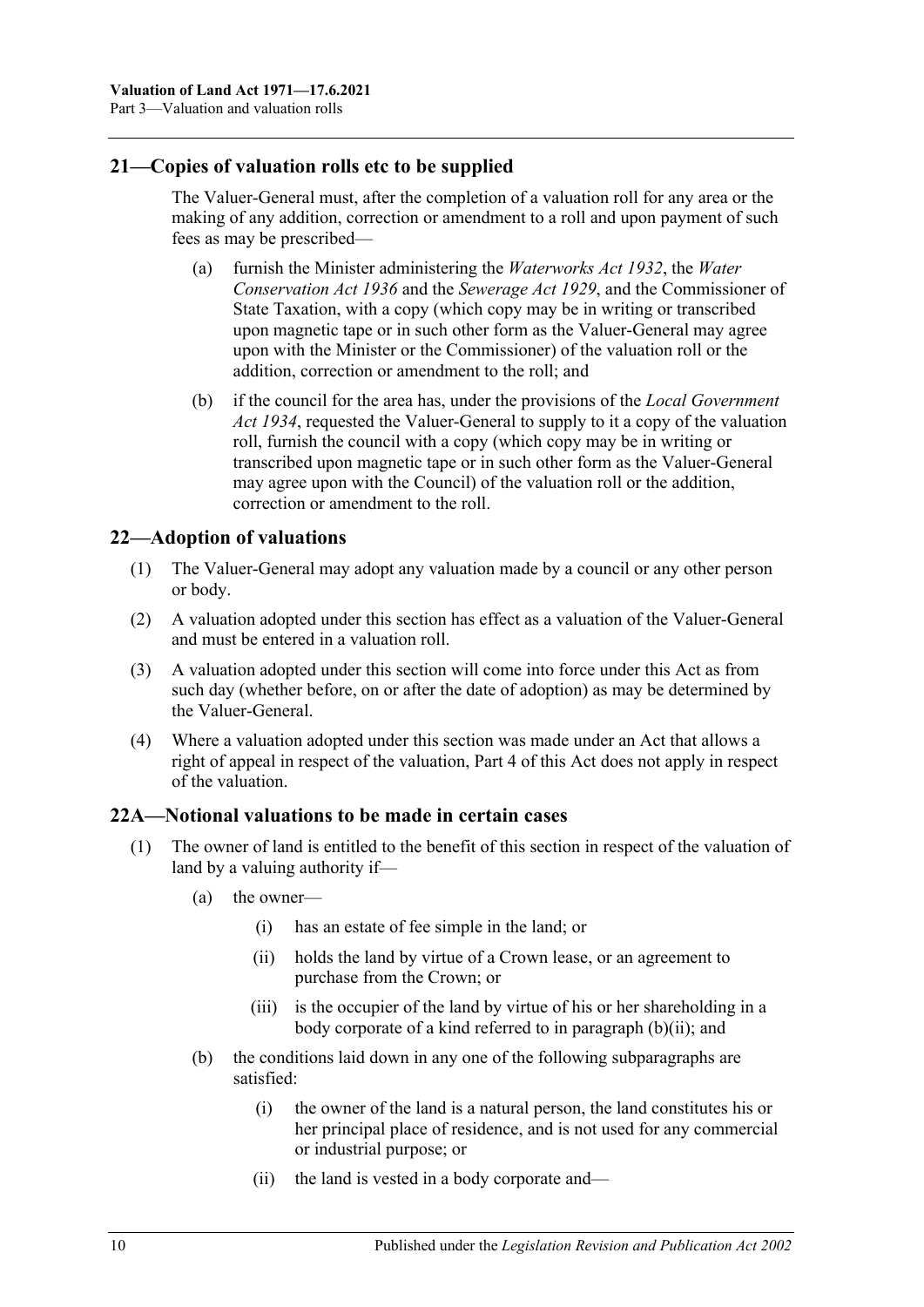### <span id="page-9-0"></span>**21—Copies of valuation rolls etc to be supplied**

The Valuer-General must, after the completion of a valuation roll for any area or the making of any addition, correction or amendment to a roll and upon payment of such fees as may be prescribed—

- (a) furnish the Minister administering the *[Waterworks Act](http://www.legislation.sa.gov.au/index.aspx?action=legref&type=act&legtitle=Waterworks%20Act%201932) 1932*, the *[Water](http://www.legislation.sa.gov.au/index.aspx?action=legref&type=act&legtitle=Water%20Conservation%20Act%201936)  [Conservation Act](http://www.legislation.sa.gov.au/index.aspx?action=legref&type=act&legtitle=Water%20Conservation%20Act%201936) 1936* and the *[Sewerage Act](http://www.legislation.sa.gov.au/index.aspx?action=legref&type=act&legtitle=Sewerage%20Act%201929) 1929*, and the Commissioner of State Taxation, with a copy (which copy may be in writing or transcribed upon magnetic tape or in such other form as the Valuer-General may agree upon with the Minister or the Commissioner) of the valuation roll or the addition, correction or amendment to the roll; and
- (b) if the council for the area has, under the provisions of the *[Local Government](http://www.legislation.sa.gov.au/index.aspx?action=legref&type=act&legtitle=Local%20Government%20Act%201934)  Act [1934](http://www.legislation.sa.gov.au/index.aspx?action=legref&type=act&legtitle=Local%20Government%20Act%201934)*, requested the Valuer-General to supply to it a copy of the valuation roll, furnish the council with a copy (which copy may be in writing or transcribed upon magnetic tape or in such other form as the Valuer-General may agree upon with the Council) of the valuation roll or the addition, correction or amendment to the roll.

## <span id="page-9-1"></span>**22—Adoption of valuations**

- (1) The Valuer-General may adopt any valuation made by a council or any other person or body.
- (2) A valuation adopted under this section has effect as a valuation of the Valuer-General and must be entered in a valuation roll.
- (3) A valuation adopted under this section will come into force under this Act as from such day (whether before, on or after the date of adoption) as may be determined by the Valuer-General.
- (4) Where a valuation adopted under this section was made under an Act that allows a right of appeal in respect of the valuation, [Part 4](#page-12-0) of this Act does not apply in respect of the valuation.

### <span id="page-9-2"></span>**22A—Notional valuations to be made in certain cases**

- <span id="page-9-4"></span><span id="page-9-3"></span>(1) The owner of land is entitled to the benefit of this section in respect of the valuation of land by a valuing authority if—
	- (a) the owner—
		- (i) has an estate of fee simple in the land; or
		- (ii) holds the land by virtue of a Crown lease, or an agreement to purchase from the Crown; or
		- (iii) is the occupier of the land by virtue of his or her shareholding in a body corporate of a kind referred to in [paragraph](#page-9-3) (b)(ii); and
	- (b) the conditions laid down in any one of the following subparagraphs are satisfied:
		- (i) the owner of the land is a natural person, the land constitutes his or her principal place of residence, and is not used for any commercial or industrial purpose; or
		- (ii) the land is vested in a body corporate and—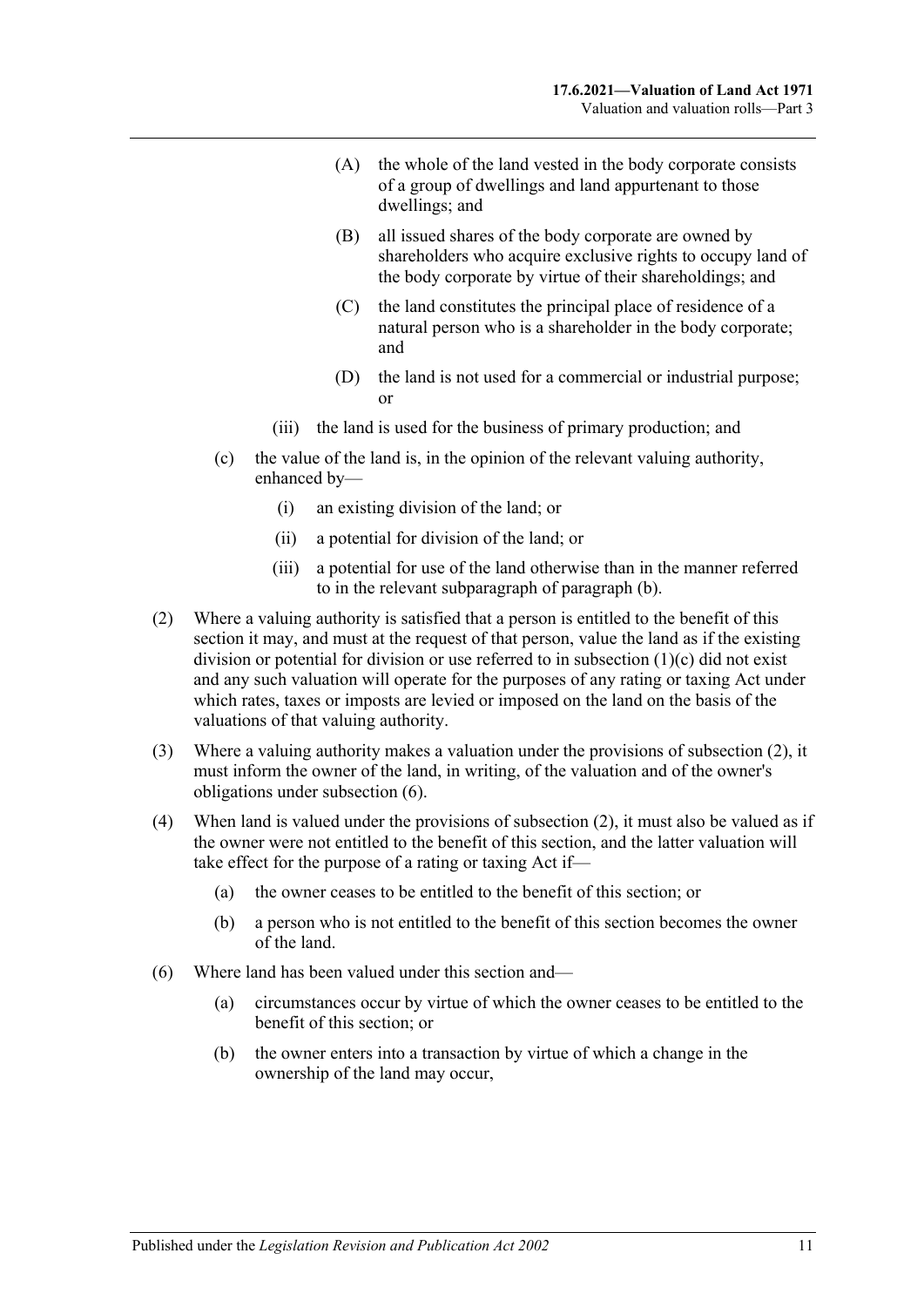- (A) the whole of the land vested in the body corporate consists of a group of dwellings and land appurtenant to those dwellings; and
- (B) all issued shares of the body corporate are owned by shareholders who acquire exclusive rights to occupy land of the body corporate by virtue of their shareholdings; and
- (C) the land constitutes the principal place of residence of a natural person who is a shareholder in the body corporate; and
- (D) the land is not used for a commercial or industrial purpose; or
- (iii) the land is used for the business of primary production; and
- <span id="page-10-0"></span>(c) the value of the land is, in the opinion of the relevant valuing authority, enhanced by—
	- (i) an existing division of the land; or
	- (ii) a potential for division of the land; or
	- (iii) a potential for use of the land otherwise than in the manner referred to in the relevant subparagraph of [paragraph](#page-9-4) (b).
- <span id="page-10-1"></span>(2) Where a valuing authority is satisfied that a person is entitled to the benefit of this section it may, and must at the request of that person, value the land as if the existing division or potential for division or use referred to in [subsection](#page-10-0) (1)(c) did not exist and any such valuation will operate for the purposes of any rating or taxing Act under which rates, taxes or imposts are levied or imposed on the land on the basis of the valuations of that valuing authority.
- (3) Where a valuing authority makes a valuation under the provisions of [subsection](#page-10-1) (2), it must inform the owner of the land, in writing, of the valuation and of the owner's obligations under [subsection](#page-10-2) (6).
- (4) When land is valued under the provisions of [subsection](#page-10-1) (2), it must also be valued as if the owner were not entitled to the benefit of this section, and the latter valuation will take effect for the purpose of a rating or taxing Act if—
	- (a) the owner ceases to be entitled to the benefit of this section; or
	- (b) a person who is not entitled to the benefit of this section becomes the owner of the land.
- <span id="page-10-2"></span>(6) Where land has been valued under this section and—
	- (a) circumstances occur by virtue of which the owner ceases to be entitled to the benefit of this section; or
	- (b) the owner enters into a transaction by virtue of which a change in the ownership of the land may occur,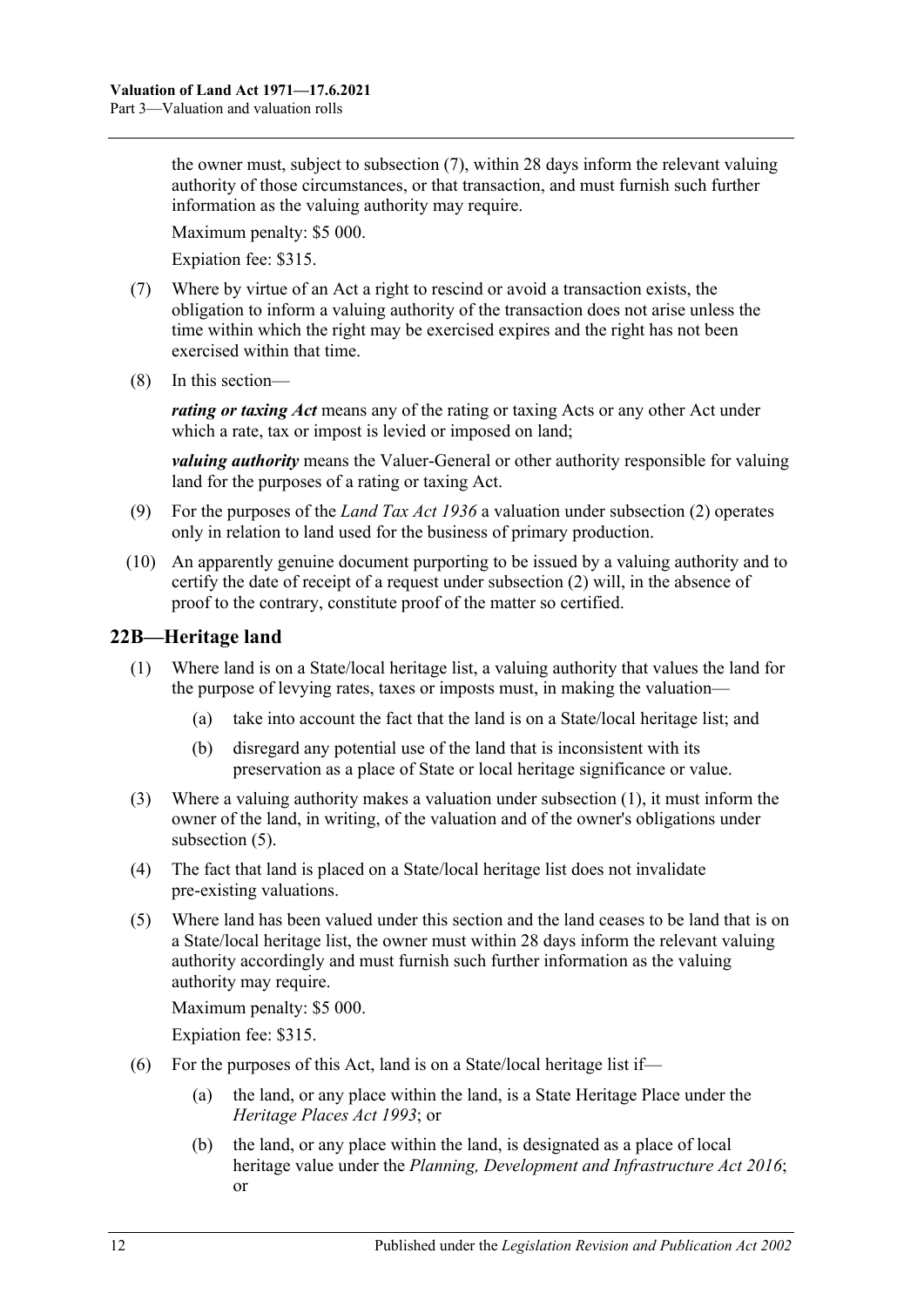the owner must, subject to [subsection](#page-11-1) (7), within 28 days inform the relevant valuing authority of those circumstances, or that transaction, and must furnish such further information as the valuing authority may require.

Maximum penalty: \$5 000.

Expiation fee: \$315.

- <span id="page-11-1"></span>(7) Where by virtue of an Act a right to rescind or avoid a transaction exists, the obligation to inform a valuing authority of the transaction does not arise unless the time within which the right may be exercised expires and the right has not been exercised within that time.
- (8) In this section—

*rating or taxing Act* means any of the rating or taxing Acts or any other Act under which a rate, tax or impost is levied or imposed on land;

*valuing authority* means the Valuer-General or other authority responsible for valuing land for the purposes of a rating or taxing Act.

- (9) For the purposes of the *[Land Tax Act](http://www.legislation.sa.gov.au/index.aspx?action=legref&type=act&legtitle=Land%20Tax%20Act%201936) 1936* a valuation under [subsection](#page-10-1) (2) operates only in relation to land used for the business of primary production.
- (10) An apparently genuine document purporting to be issued by a valuing authority and to certify the date of receipt of a request under [subsection](#page-10-1) (2) will, in the absence of proof to the contrary, constitute proof of the matter so certified.

## <span id="page-11-2"></span><span id="page-11-0"></span>**22B—Heritage land**

- (1) Where land is on a State/local heritage list, a valuing authority that values the land for the purpose of levying rates, taxes or imposts must, in making the valuation—
	- (a) take into account the fact that the land is on a State/local heritage list; and
	- (b) disregard any potential use of the land that is inconsistent with its preservation as a place of State or local heritage significance or value.
- (3) Where a valuing authority makes a valuation under [subsection](#page-11-2) (1), it must inform the owner of the land, in writing, of the valuation and of the owner's obligations under [subsection](#page-11-3) (5).
- (4) The fact that land is placed on a State/local heritage list does not invalidate pre-existing valuations.
- <span id="page-11-3"></span>(5) Where land has been valued under this section and the land ceases to be land that is on a State/local heritage list, the owner must within 28 days inform the relevant valuing authority accordingly and must furnish such further information as the valuing authority may require.

Maximum penalty: \$5 000.

Expiation fee: \$315.

- (6) For the purposes of this Act, land is on a State/local heritage list if—
	- (a) the land, or any place within the land, is a State Heritage Place under the *[Heritage Places Act](http://www.legislation.sa.gov.au/index.aspx?action=legref&type=act&legtitle=Heritage%20Places%20Act%201993) 1993*; or
	- (b) the land, or any place within the land, is designated as a place of local heritage value under the *[Planning, Development and Infrastructure Act](http://www.legislation.sa.gov.au/index.aspx?action=legref&type=act&legtitle=Planning%20Development%20and%20Infrastructure%20Act%202016) 2016*; or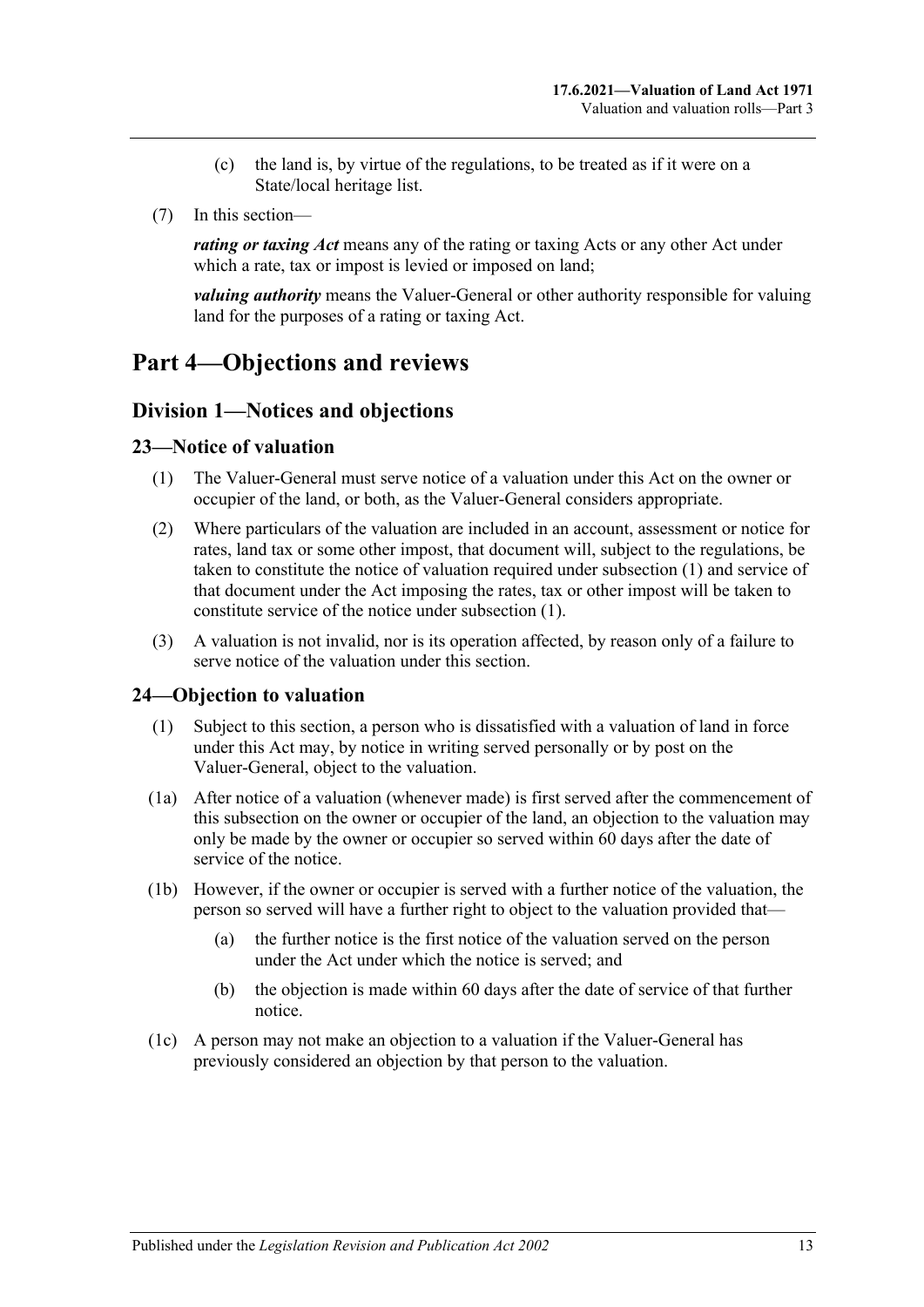- (c) the land is, by virtue of the regulations, to be treated as if it were on a State/local heritage list.
- (7) In this section—

*rating or taxing Act* means any of the rating or taxing Acts or any other Act under which a rate, tax or impost is levied or imposed on land;

*valuing authority* means the Valuer-General or other authority responsible for valuing land for the purposes of a rating or taxing Act.

# <span id="page-12-0"></span>**Part 4—Objections and reviews**

## <span id="page-12-1"></span>**Division 1—Notices and objections**

#### <span id="page-12-4"></span><span id="page-12-2"></span>**23—Notice of valuation**

- (1) The Valuer-General must serve notice of a valuation under this Act on the owner or occupier of the land, or both, as the Valuer-General considers appropriate.
- (2) Where particulars of the valuation are included in an account, assessment or notice for rates, land tax or some other impost, that document will, subject to the regulations, be taken to constitute the notice of valuation required under [subsection](#page-12-4) (1) and service of that document under the Act imposing the rates, tax or other impost will be taken to constitute service of the notice under [subsection](#page-12-4) (1).
- (3) A valuation is not invalid, nor is its operation affected, by reason only of a failure to serve notice of the valuation under this section.

### <span id="page-12-5"></span><span id="page-12-3"></span>**24—Objection to valuation**

- (1) Subject to this section, a person who is dissatisfied with a valuation of land in force under this Act may, by notice in writing served personally or by post on the Valuer-General, object to the valuation.
- (1a) After notice of a valuation (whenever made) is first served after the commencement of this subsection on the owner or occupier of the land, an objection to the valuation may only be made by the owner or occupier so served within 60 days after the date of service of the notice.
- (1b) However, if the owner or occupier is served with a further notice of the valuation, the person so served will have a further right to object to the valuation provided that—
	- (a) the further notice is the first notice of the valuation served on the person under the Act under which the notice is served; and
	- (b) the objection is made within 60 days after the date of service of that further notice.
- (1c) A person may not make an objection to a valuation if the Valuer-General has previously considered an objection by that person to the valuation.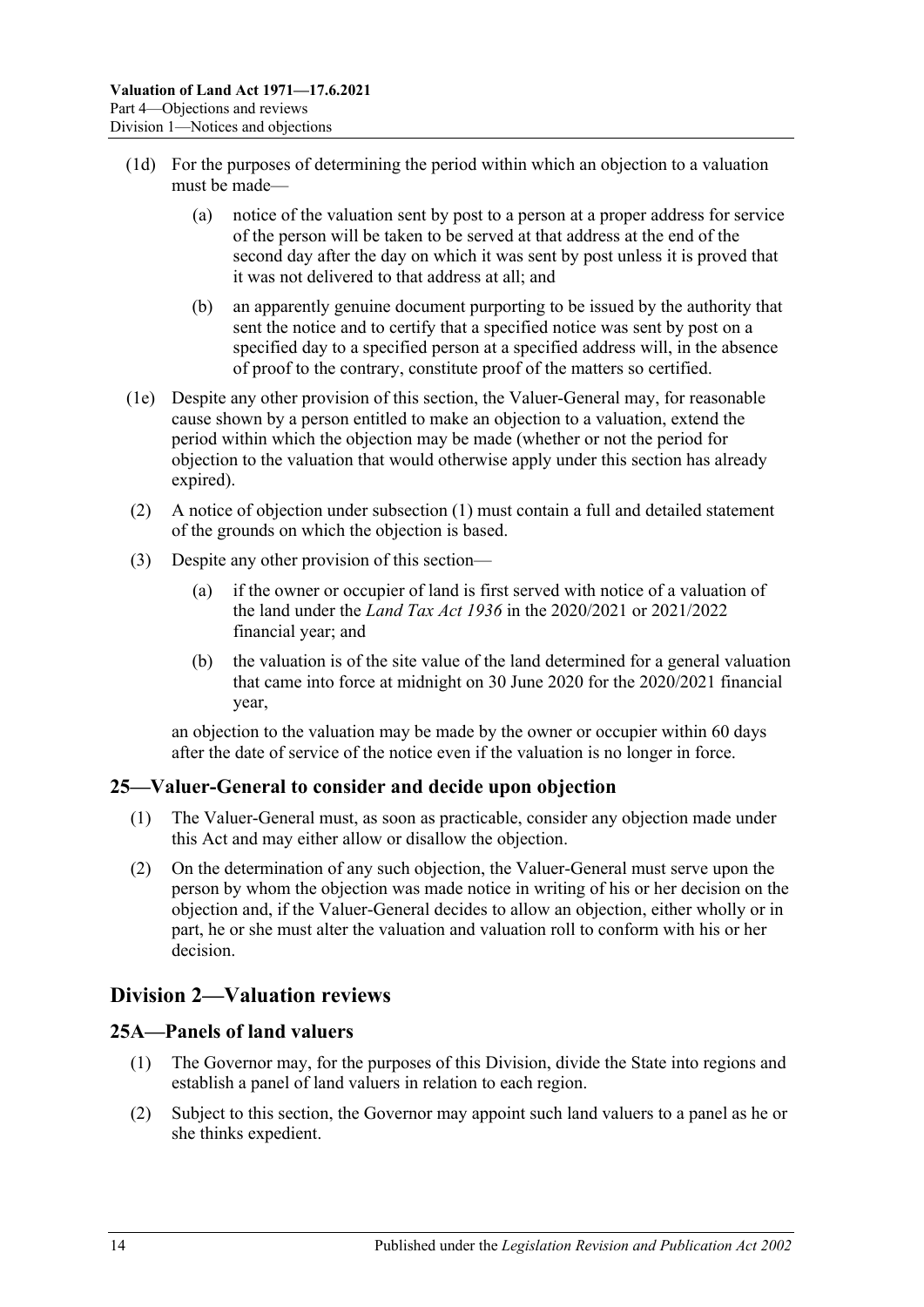- (1d) For the purposes of determining the period within which an objection to a valuation must be made—
	- (a) notice of the valuation sent by post to a person at a proper address for service of the person will be taken to be served at that address at the end of the second day after the day on which it was sent by post unless it is proved that it was not delivered to that address at all; and
	- (b) an apparently genuine document purporting to be issued by the authority that sent the notice and to certify that a specified notice was sent by post on a specified day to a specified person at a specified address will, in the absence of proof to the contrary, constitute proof of the matters so certified.
- (1e) Despite any other provision of this section, the Valuer-General may, for reasonable cause shown by a person entitled to make an objection to a valuation, extend the period within which the objection may be made (whether or not the period for objection to the valuation that would otherwise apply under this section has already expired).
- (2) A notice of objection under [subsection](#page-12-5) (1) must contain a full and detailed statement of the grounds on which the objection is based.
- (3) Despite any other provision of this section—
	- (a) if the owner or occupier of land is first served with notice of a valuation of the land under the *[Land Tax Act](http://www.legislation.sa.gov.au/index.aspx?action=legref&type=act&legtitle=Land%20Tax%20Act%201936) 1936* in the 2020/2021 or 2021/2022 financial year; and
	- (b) the valuation is of the site value of the land determined for a general valuation that came into force at midnight on 30 June 2020 for the 2020/2021 financial year,

an objection to the valuation may be made by the owner or occupier within 60 days after the date of service of the notice even if the valuation is no longer in force.

## <span id="page-13-0"></span>**25—Valuer-General to consider and decide upon objection**

- (1) The Valuer-General must, as soon as practicable, consider any objection made under this Act and may either allow or disallow the objection.
- (2) On the determination of any such objection, the Valuer-General must serve upon the person by whom the objection was made notice in writing of his or her decision on the objection and, if the Valuer-General decides to allow an objection, either wholly or in part, he or she must alter the valuation and valuation roll to conform with his or her decision.

# <span id="page-13-1"></span>**Division 2—Valuation reviews**

### <span id="page-13-2"></span>**25A—Panels of land valuers**

- (1) The Governor may, for the purposes of this Division, divide the State into regions and establish a panel of land valuers in relation to each region.
- (2) Subject to this section, the Governor may appoint such land valuers to a panel as he or she thinks expedient.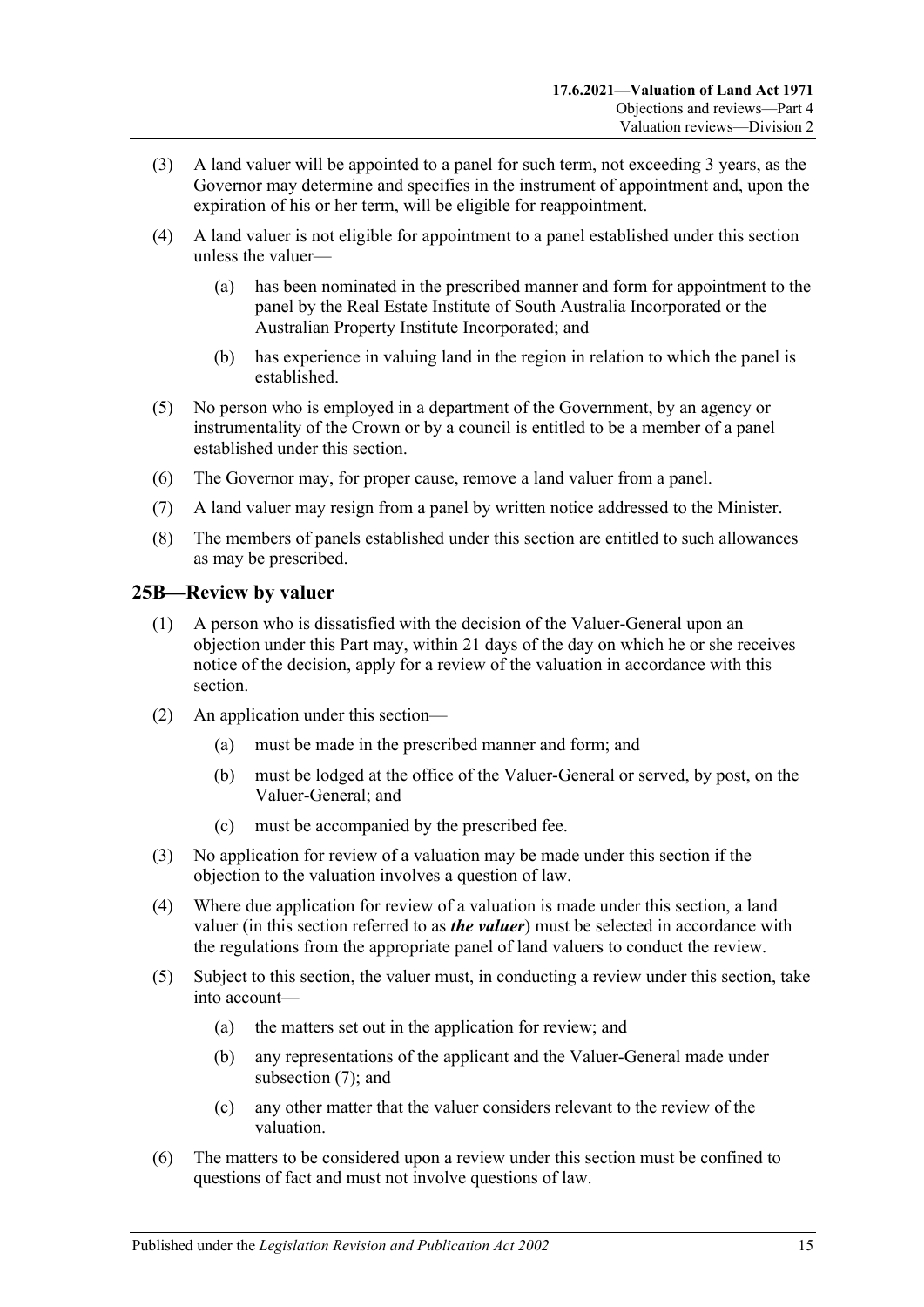- (3) A land valuer will be appointed to a panel for such term, not exceeding 3 years, as the Governor may determine and specifies in the instrument of appointment and, upon the expiration of his or her term, will be eligible for reappointment.
- (4) A land valuer is not eligible for appointment to a panel established under this section unless the valuer—
	- (a) has been nominated in the prescribed manner and form for appointment to the panel by the Real Estate Institute of South Australia Incorporated or the Australian Property Institute Incorporated; and
	- (b) has experience in valuing land in the region in relation to which the panel is established.
- (5) No person who is employed in a department of the Government, by an agency or instrumentality of the Crown or by a council is entitled to be a member of a panel established under this section.
- (6) The Governor may, for proper cause, remove a land valuer from a panel.
- (7) A land valuer may resign from a panel by written notice addressed to the Minister.
- (8) The members of panels established under this section are entitled to such allowances as may be prescribed.

### <span id="page-14-0"></span>**25B—Review by valuer**

- (1) A person who is dissatisfied with the decision of the Valuer-General upon an objection under this Part may, within 21 days of the day on which he or she receives notice of the decision, apply for a review of the valuation in accordance with this section.
- (2) An application under this section—
	- (a) must be made in the prescribed manner and form; and
	- (b) must be lodged at the office of the Valuer-General or served, by post, on the Valuer-General; and
	- (c) must be accompanied by the prescribed fee.
- (3) No application for review of a valuation may be made under this section if the objection to the valuation involves a question of law.
- (4) Where due application for review of a valuation is made under this section, a land valuer (in this section referred to as *the valuer*) must be selected in accordance with the regulations from the appropriate panel of land valuers to conduct the review.
- (5) Subject to this section, the valuer must, in conducting a review under this section, take into account—
	- (a) the matters set out in the application for review; and
	- (b) any representations of the applicant and the Valuer-General made under [subsection](#page-15-2) (7); and
	- (c) any other matter that the valuer considers relevant to the review of the valuation.
- (6) The matters to be considered upon a review under this section must be confined to questions of fact and must not involve questions of law.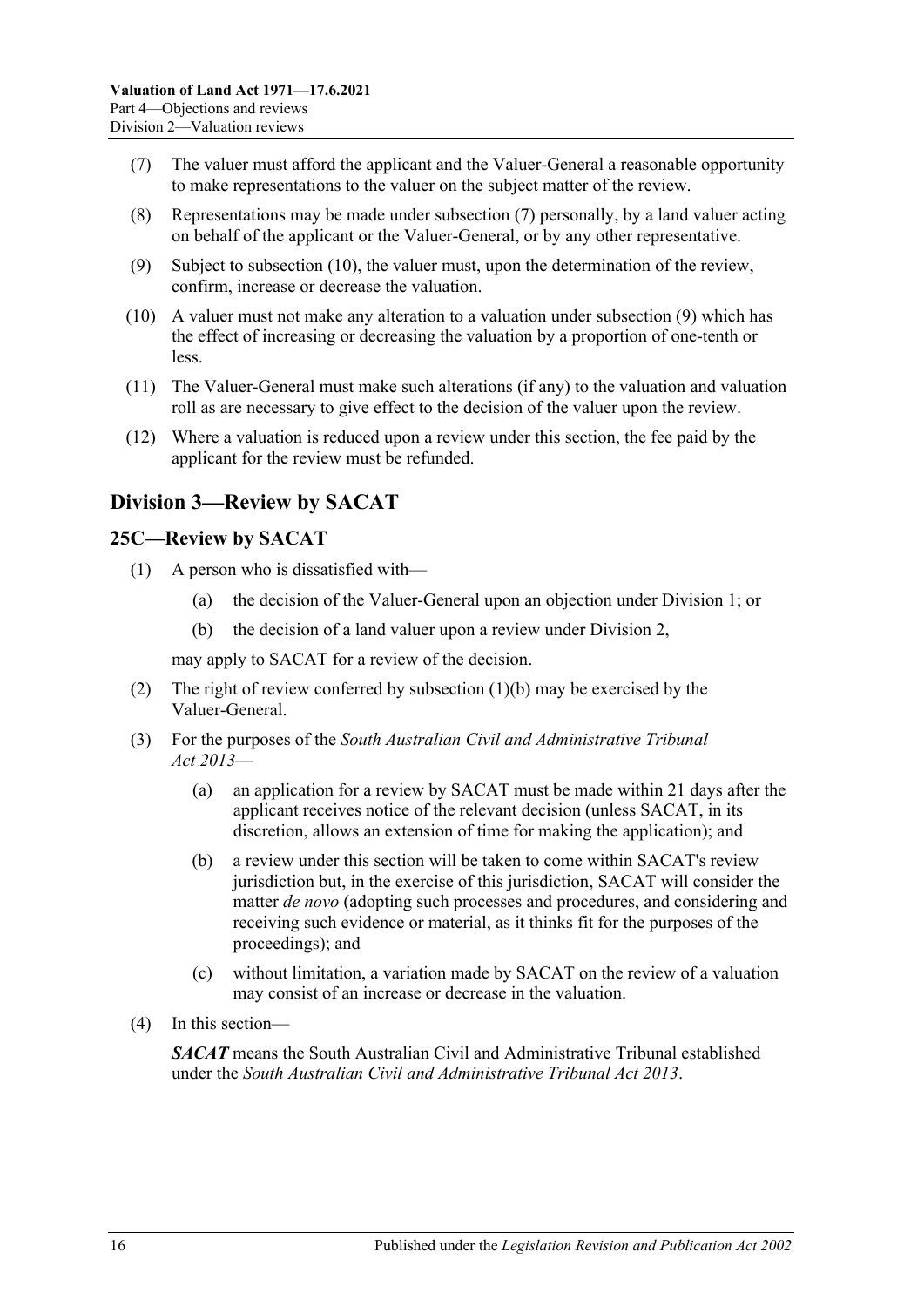- <span id="page-15-2"></span>(7) The valuer must afford the applicant and the Valuer-General a reasonable opportunity to make representations to the valuer on the subject matter of the review.
- (8) Representations may be made under [subsection](#page-15-2) (7) personally, by a land valuer acting on behalf of the applicant or the Valuer-General, or by any other representative.
- <span id="page-15-4"></span>(9) Subject to [subsection](#page-15-3) (10), the valuer must, upon the determination of the review, confirm, increase or decrease the valuation.
- <span id="page-15-3"></span>(10) A valuer must not make any alteration to a valuation under [subsection](#page-15-4) (9) which has the effect of increasing or decreasing the valuation by a proportion of one-tenth or less.
- (11) The Valuer-General must make such alterations (if any) to the valuation and valuation roll as are necessary to give effect to the decision of the valuer upon the review.
- (12) Where a valuation is reduced upon a review under this section, the fee paid by the applicant for the review must be refunded.

# <span id="page-15-0"></span>**Division 3—Review by SACAT**

#### <span id="page-15-1"></span>**25C—Review by SACAT**

- <span id="page-15-5"></span>(1) A person who is dissatisfied with—
	- (a) the decision of the Valuer-General upon an objection under [Division 1;](#page-12-1) or
	- (b) the decision of a land valuer upon a review under [Division 2,](#page-13-1)

may apply to SACAT for a review of the decision.

- (2) The right of review conferred by [subsection](#page-15-5) (1)(b) may be exercised by the Valuer-General.
- (3) For the purposes of the *[South Australian Civil and Administrative Tribunal](http://www.legislation.sa.gov.au/index.aspx?action=legref&type=act&legtitle=South%20Australian%20Civil%20and%20Administrative%20Tribunal%20Act%202013)  Act [2013](http://www.legislation.sa.gov.au/index.aspx?action=legref&type=act&legtitle=South%20Australian%20Civil%20and%20Administrative%20Tribunal%20Act%202013)*—
	- (a) an application for a review by SACAT must be made within 21 days after the applicant receives notice of the relevant decision (unless SACAT, in its discretion, allows an extension of time for making the application); and
	- (b) a review under this section will be taken to come within SACAT's review jurisdiction but, in the exercise of this jurisdiction, SACAT will consider the matter *de novo* (adopting such processes and procedures, and considering and receiving such evidence or material, as it thinks fit for the purposes of the proceedings); and
	- (c) without limitation, a variation made by SACAT on the review of a valuation may consist of an increase or decrease in the valuation.
- (4) In this section—

*SACAT* means the South Australian Civil and Administrative Tribunal established under the *South Australian [Civil and Administrative Tribunal Act](http://www.legislation.sa.gov.au/index.aspx?action=legref&type=act&legtitle=South%20Australian%20Civil%20and%20Administrative%20Tribunal%20Act%202013) 2013*.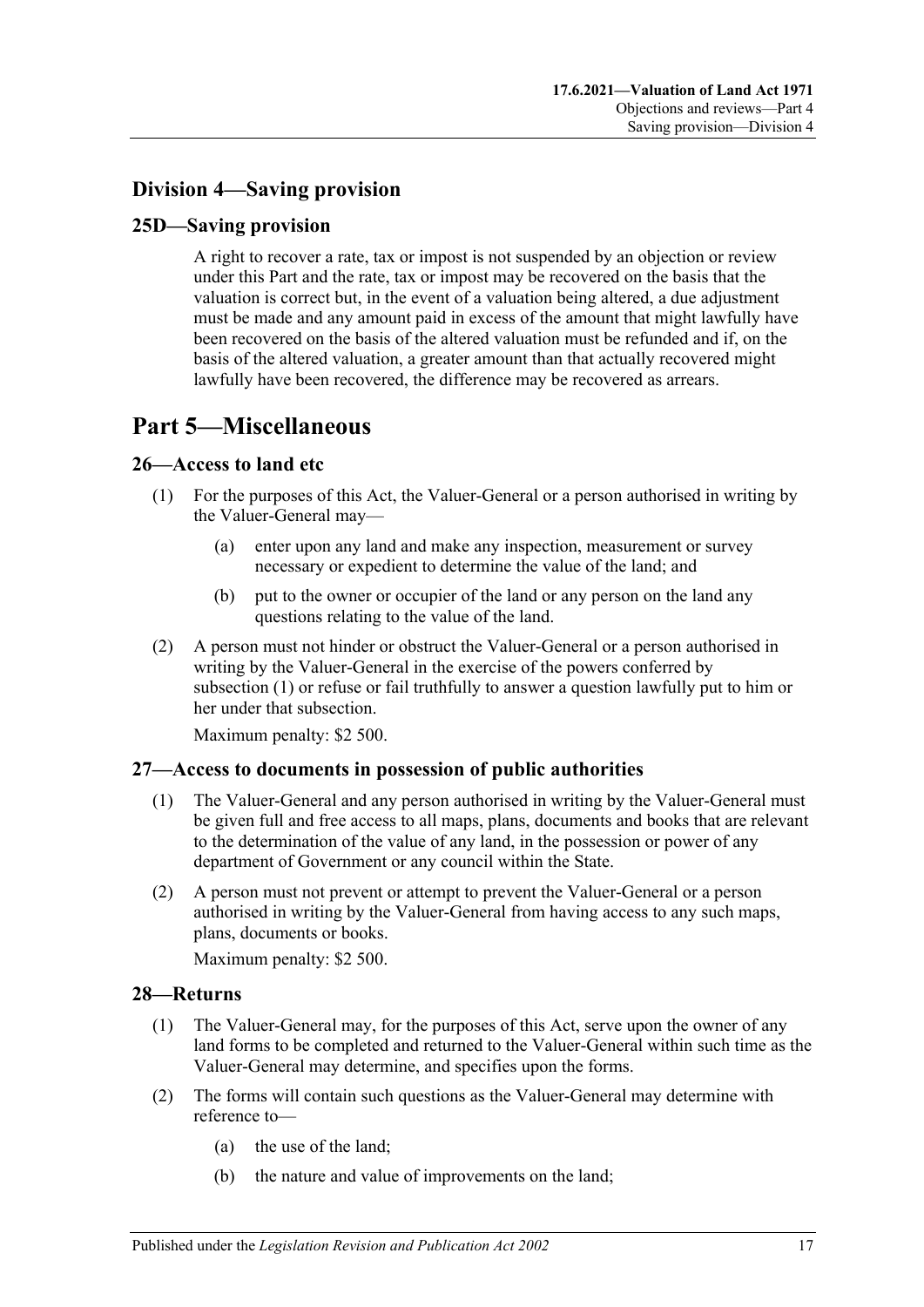# <span id="page-16-0"></span>**Division 4—Saving provision**

## <span id="page-16-1"></span>**25D—Saving provision**

A right to recover a rate, tax or impost is not suspended by an objection or review under this Part and the rate, tax or impost may be recovered on the basis that the valuation is correct but, in the event of a valuation being altered, a due adjustment must be made and any amount paid in excess of the amount that might lawfully have been recovered on the basis of the altered valuation must be refunded and if, on the basis of the altered valuation, a greater amount than that actually recovered might lawfully have been recovered, the difference may be recovered as arrears.

# <span id="page-16-2"></span>**Part 5—Miscellaneous**

### <span id="page-16-6"></span><span id="page-16-3"></span>**26—Access to land etc**

- (1) For the purposes of this Act, the Valuer-General or a person authorised in writing by the Valuer-General may—
	- (a) enter upon any land and make any inspection, measurement or survey necessary or expedient to determine the value of the land; and
	- (b) put to the owner or occupier of the land or any person on the land any questions relating to the value of the land.
- (2) A person must not hinder or obstruct the Valuer-General or a person authorised in writing by the Valuer-General in the exercise of the powers conferred by [subsection](#page-16-6) (1) or refuse or fail truthfully to answer a question lawfully put to him or her under that subsection.

Maximum penalty: \$2 500.

### <span id="page-16-4"></span>**27—Access to documents in possession of public authorities**

- (1) The Valuer-General and any person authorised in writing by the Valuer-General must be given full and free access to all maps, plans, documents and books that are relevant to the determination of the value of any land, in the possession or power of any department of Government or any council within the State.
- (2) A person must not prevent or attempt to prevent the Valuer-General or a person authorised in writing by the Valuer-General from having access to any such maps, plans, documents or books.

Maximum penalty: \$2 500.

#### <span id="page-16-7"></span><span id="page-16-5"></span>**28—Returns**

- (1) The Valuer-General may, for the purposes of this Act, serve upon the owner of any land forms to be completed and returned to the Valuer-General within such time as the Valuer-General may determine, and specifies upon the forms.
- (2) The forms will contain such questions as the Valuer-General may determine with reference to—
	- (a) the use of the land;
	- (b) the nature and value of improvements on the land;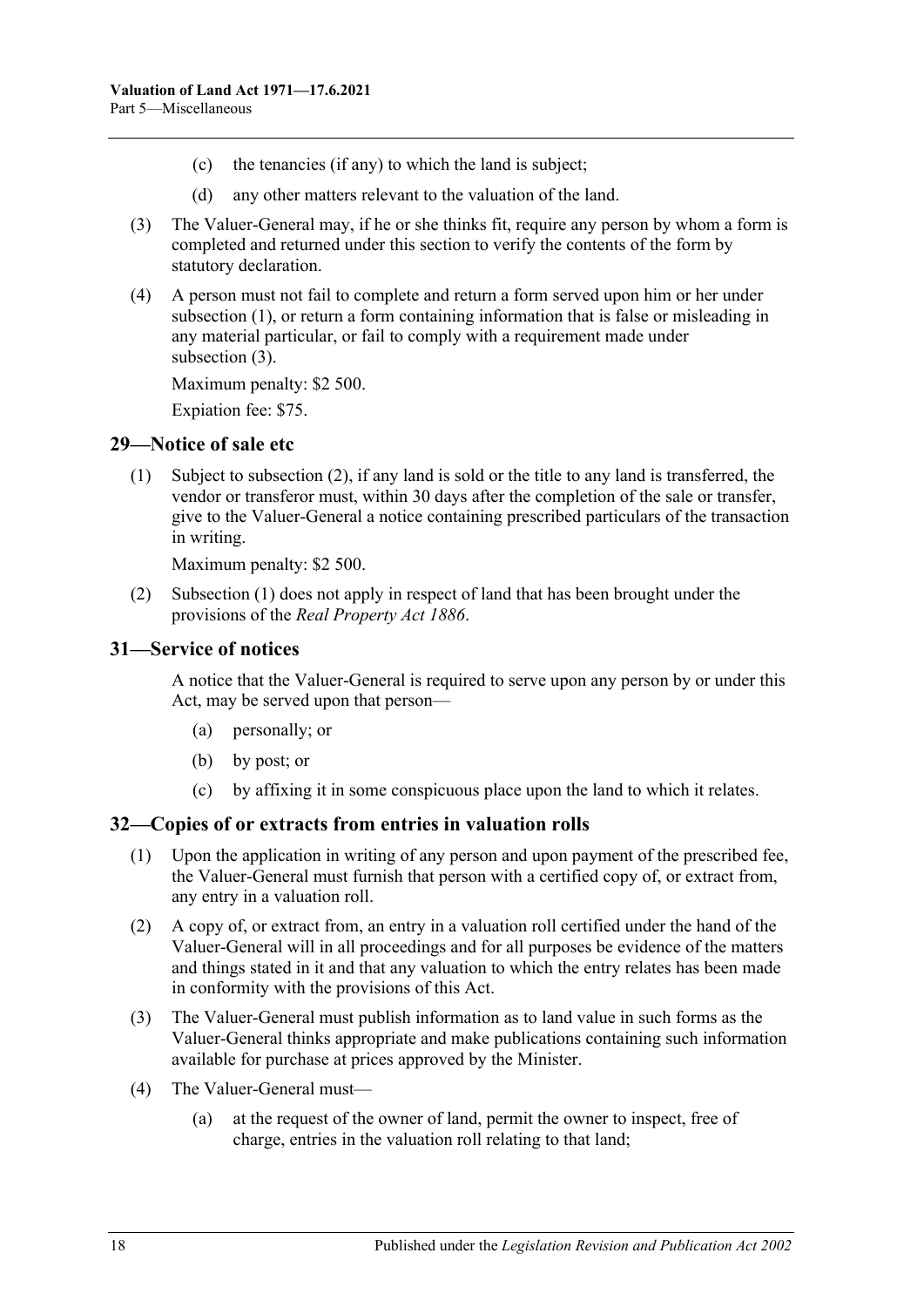- (c) the tenancies (if any) to which the land is subject;
- (d) any other matters relevant to the valuation of the land.
- <span id="page-17-3"></span>(3) The Valuer-General may, if he or she thinks fit, require any person by whom a form is completed and returned under this section to verify the contents of the form by statutory declaration.
- (4) A person must not fail to complete and return a form served upon him or her under [subsection](#page-16-7) (1), or return a form containing information that is false or misleading in any material particular, or fail to comply with a requirement made under [subsection](#page-17-3) (3).

Maximum penalty: \$2 500.

Expiation fee: \$75.

#### <span id="page-17-5"></span><span id="page-17-0"></span>**29—Notice of sale etc**

(1) Subject to [subsection](#page-17-4) (2), if any land is sold or the title to any land is transferred, the vendor or transferor must, within 30 days after the completion of the sale or transfer, give to the Valuer-General a notice containing prescribed particulars of the transaction in writing.

Maximum penalty: \$2 500.

<span id="page-17-4"></span>(2) [Subsection](#page-17-5) (1) does not apply in respect of land that has been brought under the provisions of the *[Real Property Act](http://www.legislation.sa.gov.au/index.aspx?action=legref&type=act&legtitle=Real%20Property%20Act%201886) 1886*.

#### <span id="page-17-1"></span>**31—Service of notices**

A notice that the Valuer-General is required to serve upon any person by or under this Act, may be served upon that person—

- (a) personally; or
- (b) by post; or
- (c) by affixing it in some conspicuous place upon the land to which it relates.

### <span id="page-17-2"></span>**32—Copies of or extracts from entries in valuation rolls**

- (1) Upon the application in writing of any person and upon payment of the prescribed fee, the Valuer-General must furnish that person with a certified copy of, or extract from, any entry in a valuation roll.
- (2) A copy of, or extract from, an entry in a valuation roll certified under the hand of the Valuer-General will in all proceedings and for all purposes be evidence of the matters and things stated in it and that any valuation to which the entry relates has been made in conformity with the provisions of this Act.
- (3) The Valuer-General must publish information as to land value in such forms as the Valuer-General thinks appropriate and make publications containing such information available for purchase at prices approved by the Minister.
- (4) The Valuer-General must—
	- (a) at the request of the owner of land, permit the owner to inspect, free of charge, entries in the valuation roll relating to that land;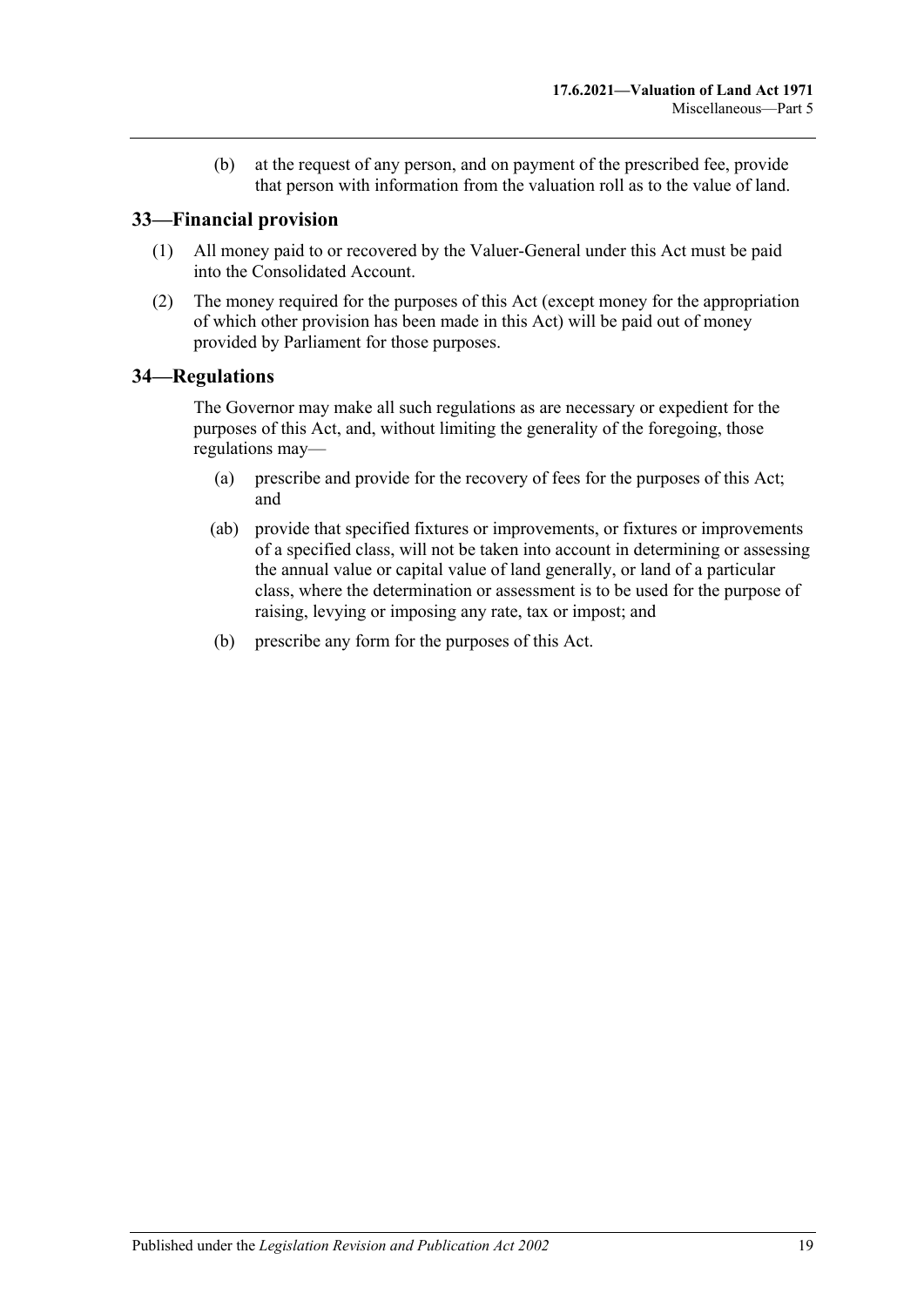(b) at the request of any person, and on payment of the prescribed fee, provide that person with information from the valuation roll as to the value of land.

## <span id="page-18-0"></span>**33—Financial provision**

- (1) All money paid to or recovered by the Valuer-General under this Act must be paid into the Consolidated Account.
- (2) The money required for the purposes of this Act (except money for the appropriation of which other provision has been made in this Act) will be paid out of money provided by Parliament for those purposes.

### <span id="page-18-1"></span>**34—Regulations**

The Governor may make all such regulations as are necessary or expedient for the purposes of this Act, and, without limiting the generality of the foregoing, those regulations may—

- (a) prescribe and provide for the recovery of fees for the purposes of this Act; and
- (ab) provide that specified fixtures or improvements, or fixtures or improvements of a specified class, will not be taken into account in determining or assessing the annual value or capital value of land generally, or land of a particular class, where the determination or assessment is to be used for the purpose of raising, levying or imposing any rate, tax or impost; and
- (b) prescribe any form for the purposes of this Act.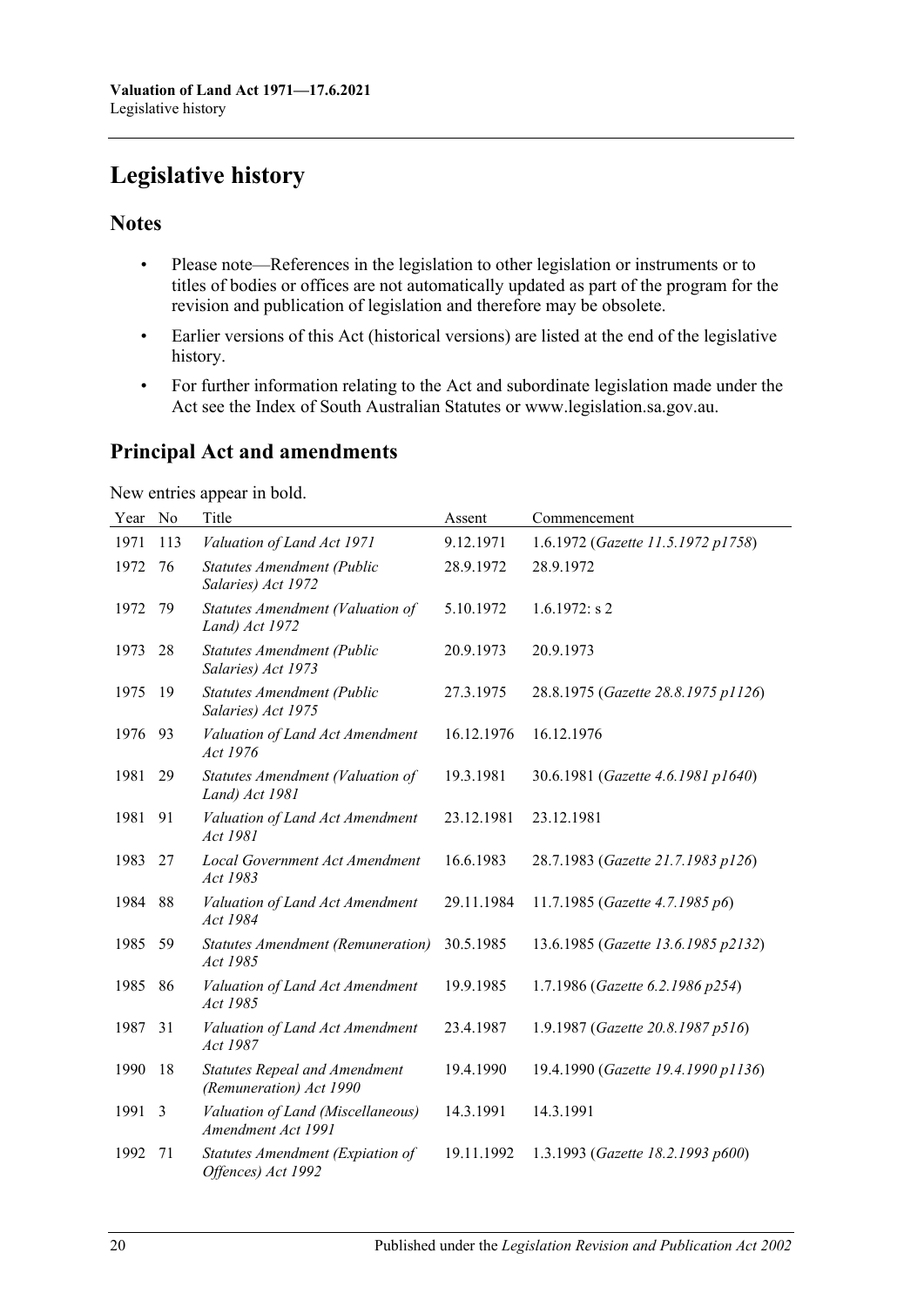# <span id="page-19-0"></span>**Legislative history**

## **Notes**

- Please note—References in the legislation to other legislation or instruments or to titles of bodies or offices are not automatically updated as part of the program for the revision and publication of legislation and therefore may be obsolete.
- Earlier versions of this Act (historical versions) are listed at the end of the legislative history.
- For further information relating to the Act and subordinate legislation made under the Act see the Index of South Australian Statutes or www.legislation.sa.gov.au.

# **Principal Act and amendments**

New entries appear in bold.

| Year | No  | Title                                                           | Assent     | Commencement                        |
|------|-----|-----------------------------------------------------------------|------------|-------------------------------------|
| 1971 | 113 | Valuation of Land Act 1971                                      | 9.12.1971  | 1.6.1972 (Gazette 11.5.1972 p1758)  |
| 1972 | 76  | <b>Statutes Amendment (Public</b><br>Salaries) Act 1972         | 28.9.1972  | 28.9.1972                           |
| 1972 | 79  | Statutes Amendment (Valuation of<br>Land) Act 1972              | 5.10.1972  | $1.6.1972$ : s 2                    |
| 1973 | 28  | <b>Statutes Amendment (Public</b><br>Salaries) Act 1973         | 20.9.1973  | 20.9.1973                           |
| 1975 | 19  | Statutes Amendment (Public<br>Salaries) Act 1975                | 27.3.1975  | 28.8.1975 (Gazette 28.8.1975 p1126) |
| 1976 | 93  | Valuation of Land Act Amendment<br>Act 1976                     | 16.12.1976 | 16.12.1976                          |
| 1981 | 29  | Statutes Amendment (Valuation of<br>Land) Act 1981              | 19.3.1981  | 30.6.1981 (Gazette 4.6.1981 p1640)  |
| 1981 | 91  | Valuation of Land Act Amendment<br>Act 1981                     | 23.12.1981 | 23.12.1981                          |
| 1983 | 27  | Local Government Act Amendment<br>Act 1983                      | 16.6.1983  | 28.7.1983 (Gazette 21.7.1983 p126)  |
| 1984 | 88  | Valuation of Land Act Amendment<br>Act 1984                     | 29.11.1984 | 11.7.1985 (Gazette 4.7.1985 p6)     |
| 1985 | 59  | Statutes Amendment (Remuneration)<br>Act 1985                   | 30.5.1985  | 13.6.1985 (Gazette 13.6.1985 p2132) |
| 1985 | 86  | Valuation of Land Act Amendment<br>Act 1985                     | 19.9.1985  | 1.7.1986 (Gazette 6.2.1986 p254)    |
| 1987 | 31  | Valuation of Land Act Amendment<br>Act 1987                     | 23.4.1987  | 1.9.1987 (Gazette 20.8.1987 p516)   |
| 1990 | 18  | <b>Statutes Repeal and Amendment</b><br>(Remuneration) Act 1990 | 19.4.1990  | 19.4.1990 (Gazette 19.4.1990 p1136) |
| 1991 | 3   | Valuation of Land (Miscellaneous)<br>Amendment Act 1991         | 14.3.1991  | 14.3.1991                           |
| 1992 | 71  | Statutes Amendment (Expiation of<br>Offences) Act 1992          | 19.11.1992 | 1.3.1993 (Gazette 18.2.1993 p600)   |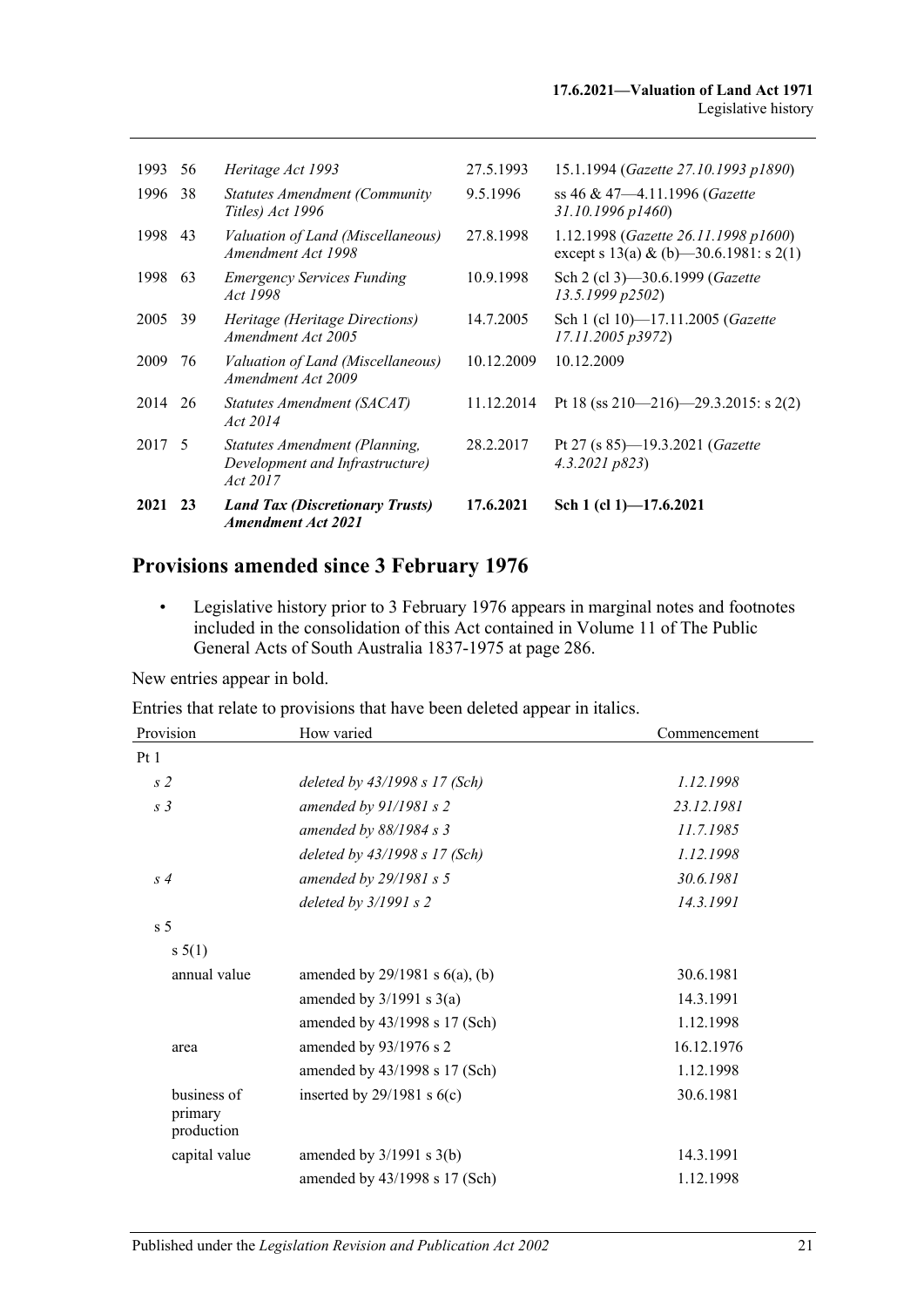| 1993   | 56 | Heritage Act 1993                                                            | 27.5.1993  | 15.1.1994 (Gazette 27.10.1993 p1890)                                            |
|--------|----|------------------------------------------------------------------------------|------------|---------------------------------------------------------------------------------|
| 1996   | 38 | <b>Statutes Amendment (Community</b><br>Titles) Act 1996                     | 9.5.1996   | ss 46 & 47—4.11.1996 ( <i>Gazette</i><br>$31.10.1996 \, p1460$                  |
| 1998   | 43 | Valuation of Land (Miscellaneous)<br>Amendment Act 1998                      | 27.8.1998  | 1.12.1998 (Gazette 26.11.1998 p1600)<br>except s 13(a) & (b) -30.6.1981: s 2(1) |
| 1998   | 63 | <b>Emergency Services Funding</b><br>Act 1998                                | 10.9.1998  | Sch 2 (cl 3)-30.6.1999 (Gazette<br>13.5.1999 p2502)                             |
| 2005   | 39 | Heritage (Heritage Directions)<br>Amendment Act 2005                         | 14.7.2005  | Sch 1 (cl 10)-17.11.2005 (Gazette<br>17.11.2005 p3972)                          |
| 2009   | 76 | Valuation of Land (Miscellaneous)<br>Amendment Act 2009                      | 10.12.2009 | 10.12.2009                                                                      |
| 2014   | 26 | Statutes Amendment (SACAT)<br>Act 2014                                       | 11.12.2014 | Pt 18 (ss 210–216)–29.3.2015: s 2(2)                                            |
| 2017 5 |    | Statutes Amendment (Planning,<br>Development and Infrastructure)<br>Act 2017 | 28.2.2017  | Pt 27 (s 85)-19.3.2021 (Gazette<br>4.3.2021 p823                                |
| 2021   | 23 | <b>Land Tax (Discretionary Trusts)</b><br><b>Amendment Act 2021</b>          | 17.6.2021  | Sch 1 (cl 1)-17.6.2021                                                          |

# **Provisions amended since 3 February 1976**

• Legislative history prior to 3 February 1976 appears in marginal notes and footnotes included in the consolidation of this Act contained in Volume 11 of The Public General Acts of South Australia 1837-1975 at page 286.

New entries appear in bold.

Entries that relate to provisions that have been deleted appear in italics.

| Provision                            | How varied                          | Commencement |
|--------------------------------------|-------------------------------------|--------------|
| Pt1                                  |                                     |              |
| s <sub>2</sub>                       | deleted by $43/1998 s 17 (Sch)$     | 1.12.1998    |
| s <sub>3</sub>                       | amended by $91/1981 s 2$            | 23.12.1981   |
|                                      | amended by $88/1984 s$ 3            | 11.7.1985    |
|                                      | deleted by 43/1998 s 17 (Sch)       | 1.12.1998    |
| s <sub>4</sub>                       | amended by $29/1981 s 5$            | 30.6.1981    |
|                                      | deleted by $3/1991 s 2$             | 14.3.1991    |
| s <sub>5</sub>                       |                                     |              |
| s 5(1)                               |                                     |              |
| annual value                         | amended by $29/1981$ s $6(a)$ , (b) | 30.6.1981    |
|                                      | amended by $3/1991$ s $3(a)$        | 14.3.1991    |
|                                      | amended by 43/1998 s 17 (Sch)       | 1.12.1998    |
| area                                 | amended by 93/1976 s 2              | 16.12.1976   |
|                                      | amended by 43/1998 s 17 (Sch)       | 1.12.1998    |
| business of<br>primary<br>production | inserted by $29/1981$ s $6(c)$      | 30.6.1981    |
| capital value                        | amended by $3/1991$ s $3(b)$        | 14.3.1991    |
|                                      | amended by 43/1998 s 17 (Sch)       | 1.12.1998    |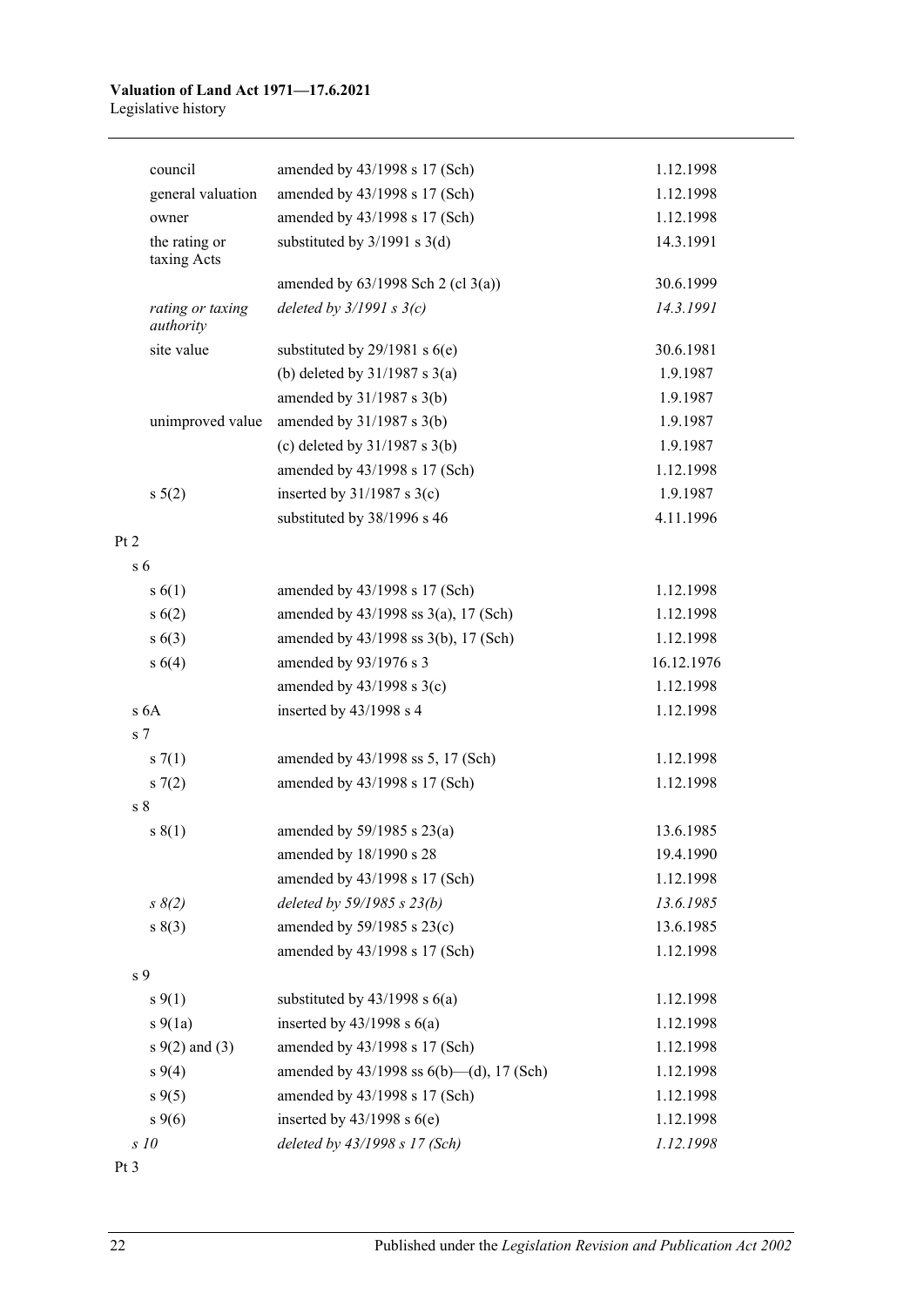#### **Valuation of Land Act 1971—17.6.2021** Legislative history

| council                       | amended by 43/1998 s 17 (Sch)                 | 1.12.1998  |
|-------------------------------|-----------------------------------------------|------------|
| general valuation             | amended by 43/1998 s 17 (Sch)                 | 1.12.1998  |
| owner                         | amended by 43/1998 s 17 (Sch)                 | 1.12.1998  |
| the rating or<br>taxing Acts  | substituted by $3/1991$ s $3(d)$              | 14.3.1991  |
|                               | amended by $63/1998$ Sch 2 (cl 3(a))          | 30.6.1999  |
| rating or taxing<br>authority | deleted by $3/1991 s 3(c)$                    | 14.3.1991  |
| site value                    | substituted by $29/1981$ s $6(e)$             | 30.6.1981  |
|                               | (b) deleted by $31/1987$ s $3(a)$             | 1.9.1987   |
|                               | amended by $31/1987$ s $3(b)$                 | 1.9.1987   |
| unimproved value              | amended by $31/1987$ s $3(b)$                 | 1.9.1987   |
|                               | (c) deleted by $31/1987$ s $3(b)$             | 1.9.1987   |
|                               | amended by 43/1998 s 17 (Sch)                 | 1.12.1998  |
| $s\ 5(2)$                     | inserted by $31/1987$ s $3(c)$                | 1.9.1987   |
|                               | substituted by 38/1996 s 46                   | 4.11.1996  |
|                               |                                               |            |
| s <sub>6</sub>                |                                               |            |
| s(6(1))                       | amended by 43/1998 s 17 (Sch)                 | 1.12.1998  |
| s(6(2))                       | amended by $43/1998$ ss $3(a)$ , 17 (Sch)     | 1.12.1998  |
| s(6(3))                       | amended by 43/1998 ss 3(b), 17 (Sch)          | 1.12.1998  |
| s 6(4)                        | amended by 93/1976 s 3                        | 16.12.1976 |
|                               | amended by $43/1998$ s $3(c)$                 | 1.12.1998  |
| s <sub>6A</sub>               | inserted by 43/1998 s 4                       | 1.12.1998  |
| s <sub>7</sub>                |                                               |            |
| s(7(1))                       | amended by 43/1998 ss 5, 17 (Sch)             | 1.12.1998  |
| s(7(2)                        | amended by 43/1998 s 17 (Sch)                 | 1.12.1998  |
| s <sub>8</sub>                |                                               |            |
| s(1)                          | amended by $59/1985$ s $23(a)$                | 13.6.1985  |
|                               | amended by 18/1990 s 28                       | 19.4.1990  |
|                               | amended by 43/1998 s 17 (Sch)                 | 1.12.1998  |
| $s \, 8(2)$                   | deleted by 59/1985 s 23(b)                    | 13.6.1985  |
| s(3)                          | amended by 59/1985 s 23(c)                    | 13.6.1985  |
|                               | amended by 43/1998 s 17 (Sch)                 | 1.12.1998  |
| s 9                           |                                               |            |
| $s \, 9(1)$                   | substituted by $43/1998$ s $6(a)$             | 1.12.1998  |
| $s\ 9(1a)$                    | inserted by $43/1998$ s $6(a)$                | 1.12.1998  |
| $s \, 9(2)$ and (3)           | amended by 43/1998 s 17 (Sch)                 | 1.12.1998  |
| $s\,9(4)$                     | amended by $43/1998$ ss $6(b)$ —(d), 17 (Sch) | 1.12.1998  |
| $s \, 9(5)$                   | amended by 43/1998 s 17 (Sch)                 | 1.12.1998  |
| $s \, 9(6)$                   | inserted by $43/1998$ s $6(e)$                | 1.12.1998  |
| s 10                          | deleted by 43/1998 s 17 (Sch)                 | 1.12.1998  |
|                               |                                               |            |

Pt 3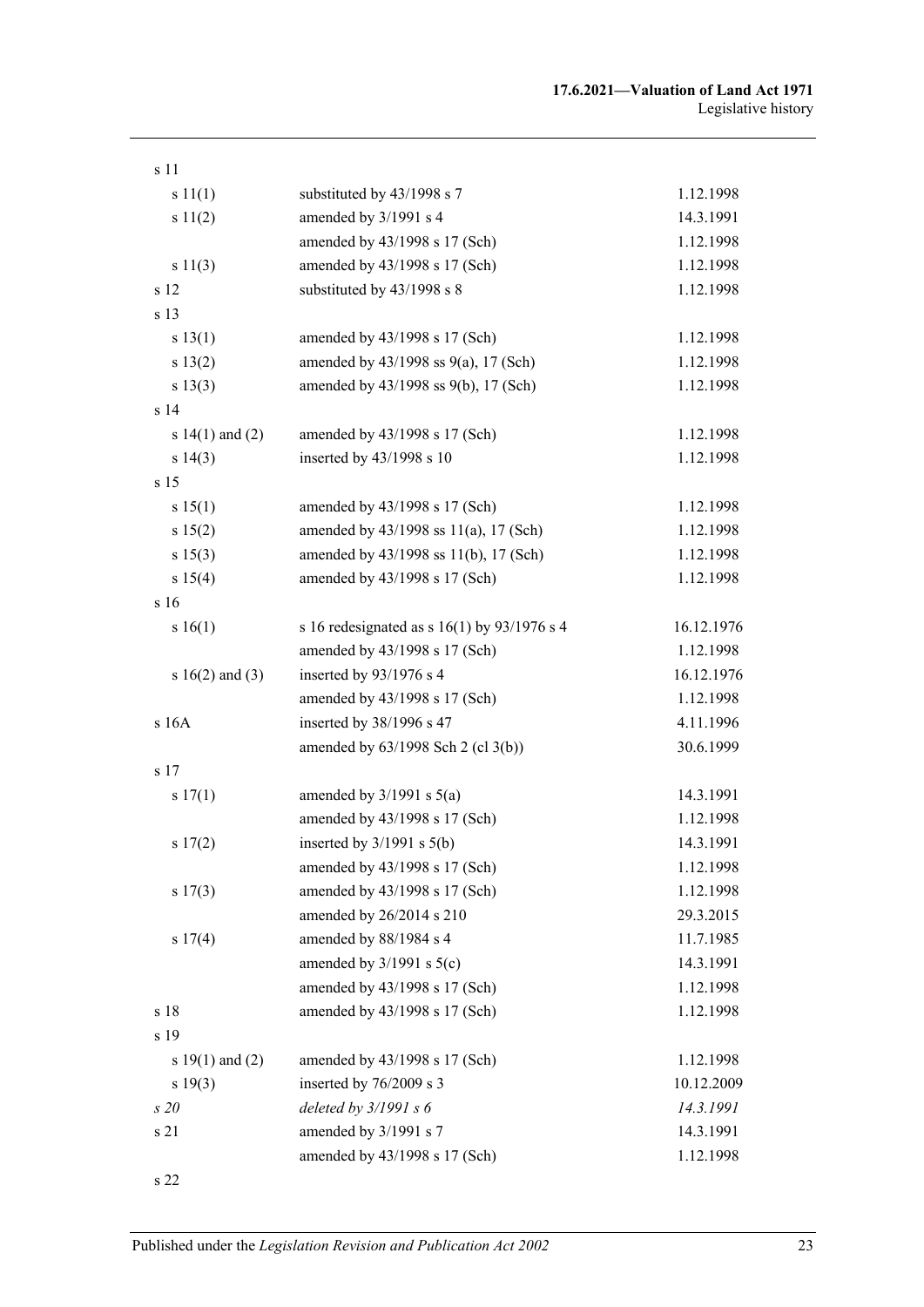| s 11                |                                               |            |
|---------------------|-----------------------------------------------|------------|
| s 11(1)             | substituted by 43/1998 s 7                    | 1.12.1998  |
| s 11(2)             | amended by 3/1991 s 4                         | 14.3.1991  |
|                     | amended by 43/1998 s 17 (Sch)                 | 1.12.1998  |
| s 11(3)             | amended by 43/1998 s 17 (Sch)                 | 1.12.1998  |
| s 12                | substituted by 43/1998 s 8                    | 1.12.1998  |
| s 13                |                                               |            |
| s 13(1)             | amended by 43/1998 s 17 (Sch)                 | 1.12.1998  |
| s 13(2)             | amended by $43/1998$ ss $9(a)$ , 17 (Sch)     | 1.12.1998  |
| s 13(3)             | amended by 43/1998 ss 9(b), 17 (Sch)          | 1.12.1998  |
| s <sub>14</sub>     |                                               |            |
| s $14(1)$ and $(2)$ | amended by 43/1998 s 17 (Sch)                 | 1.12.1998  |
| s 14(3)             | inserted by 43/1998 s 10                      | 1.12.1998  |
| s <sub>15</sub>     |                                               |            |
| s 15(1)             | amended by 43/1998 s 17 (Sch)                 | 1.12.1998  |
| s 15(2)             | amended by $43/1998$ ss $11(a)$ , 17 (Sch)    | 1.12.1998  |
| s 15(3)             | amended by 43/1998 ss 11(b), 17 (Sch)         | 1.12.1998  |
| s 15(4)             | amended by 43/1998 s 17 (Sch)                 | 1.12.1998  |
| s 16                |                                               |            |
| s 16(1)             | s 16 redesignated as s $16(1)$ by 93/1976 s 4 | 16.12.1976 |
|                     | amended by 43/1998 s 17 (Sch)                 | 1.12.1998  |
| s $16(2)$ and (3)   | inserted by 93/1976 s 4                       | 16.12.1976 |
|                     | amended by 43/1998 s 17 (Sch)                 | 1.12.1998  |
| s 16A               | inserted by 38/1996 s 47                      | 4.11.1996  |
|                     | amended by 63/1998 Sch 2 (cl 3(b))            | 30.6.1999  |
| s 17                |                                               |            |
| s 17(1)             | amended by $3/1991$ s $5(a)$                  | 14.3.1991  |
|                     | amended by 43/1998 s 17 (Sch)                 | 1.12.1998  |
| s 17(2)             | inserted by $3/1991$ s $5(b)$                 | 14.3.1991  |
|                     | amended by 43/1998 s 17 (Sch)                 | 1.12.1998  |
| s 17(3)             | amended by 43/1998 s 17 (Sch)                 | 1.12.1998  |
|                     | amended by 26/2014 s 210                      | 29.3.2015  |
| s 17(4)             | amended by 88/1984 s 4                        | 11.7.1985  |
|                     | amended by $3/1991$ s $5(c)$                  | 14.3.1991  |
|                     | amended by 43/1998 s 17 (Sch)                 | 1.12.1998  |
| s 18                | amended by 43/1998 s 17 (Sch)                 | 1.12.1998  |
| s 19                |                                               |            |
| s $19(1)$ and $(2)$ | amended by 43/1998 s 17 (Sch)                 | 1.12.1998  |
| s 19(3)             | inserted by 76/2009 s 3                       | 10.12.2009 |
| s20                 | deleted by $3/1991 s 6$                       | 14.3.1991  |
| s 21                | amended by 3/1991 s 7                         | 14.3.1991  |
|                     | amended by 43/1998 s 17 (Sch)                 | 1.12.1998  |
|                     |                                               |            |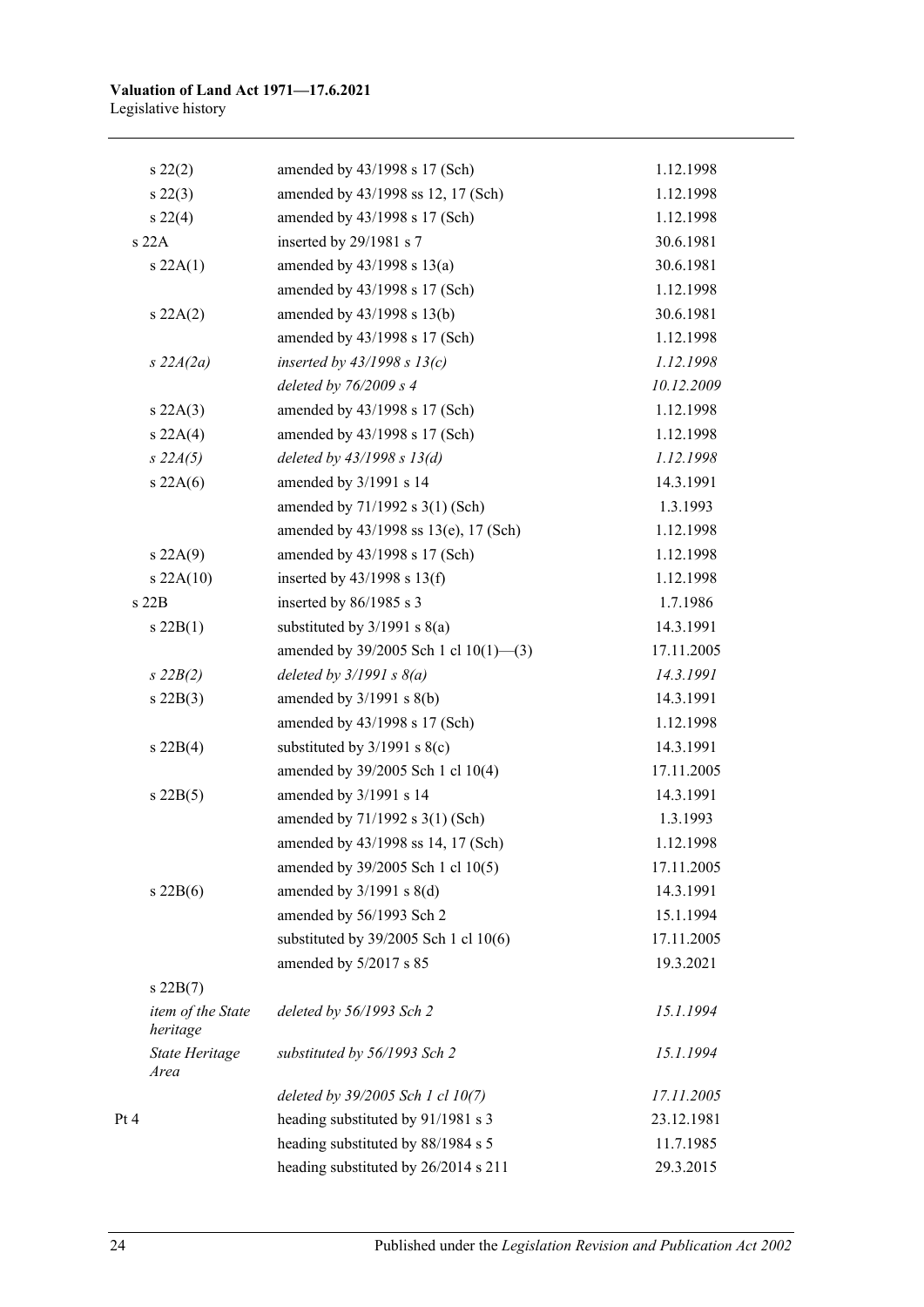| $s\,22(2)$                    | amended by 43/1998 s 17 (Sch)             | 1.12.1998  |
|-------------------------------|-------------------------------------------|------------|
| $s\,22(3)$                    | amended by 43/1998 ss 12, 17 (Sch)        | 1.12.1998  |
| $s\,22(4)$                    | amended by 43/1998 s 17 (Sch)             | 1.12.1998  |
| s22A                          | inserted by 29/1981 s 7                   | 30.6.1981  |
| s 22A(1)                      | amended by $43/1998$ s $13(a)$            | 30.6.1981  |
|                               | amended by 43/1998 s 17 (Sch)             | 1.12.1998  |
| s 22A(2)                      | amended by 43/1998 s 13(b)                | 30.6.1981  |
|                               | amended by 43/1998 s 17 (Sch)             | 1.12.1998  |
| $s$ 22A(2a)                   | inserted by $43/1998 s 13(c)$             | 1.12.1998  |
|                               | deleted by $76/2009 s 4$                  | 10.12.2009 |
| s 22A(3)                      | amended by 43/1998 s 17 (Sch)             | 1.12.1998  |
| s 22A(4)                      | amended by 43/1998 s 17 (Sch)             | 1.12.1998  |
| $s\,22A(5)$                   | deleted by $43/1998 s 13(d)$              | 1.12.1998  |
| s 22A(6)                      | amended by 3/1991 s 14                    | 14.3.1991  |
|                               | amended by 71/1992 s 3(1) (Sch)           | 1.3.1993   |
|                               | amended by 43/1998 ss 13(e), 17 (Sch)     | 1.12.1998  |
| s 22A(9)                      | amended by 43/1998 s 17 (Sch)             | 1.12.1998  |
| $s$ 22A(10)                   | inserted by $43/1998$ s $13(f)$           | 1.12.1998  |
| s22B                          | inserted by $86/1985$ s 3                 | 1.7.1986   |
| $s\,22B(1)$                   | substituted by $3/1991$ s $8(a)$          | 14.3.1991  |
|                               | amended by 39/2005 Sch 1 cl 10(1)-(3)     | 17.11.2005 |
| $s\,22B(2)$                   | deleted by $3/1991 s 8(a)$                | 14.3.1991  |
| $s$ 22B(3)                    | amended by $3/1991$ s $8(b)$              | 14.3.1991  |
|                               | amended by 43/1998 s 17 (Sch)             | 1.12.1998  |
| $s\ 22B(4)$                   | substituted by $3/1991$ s $8(c)$          | 14.3.1991  |
|                               | amended by 39/2005 Sch 1 cl 10(4)         | 17.11.2005 |
| $s$ 22B(5)                    | amended by 3/1991 s 14                    | 14.3.1991  |
|                               | amended by 71/1992 s 3(1) (Sch)           | 1.3.1993   |
|                               | amended by 43/1998 ss 14, 17 (Sch)        | 1.12.1998  |
|                               | amended by 39/2005 Sch 1 cl 10(5)         | 17.11.2005 |
| $s$ 22B(6)                    | amended by $3/1991$ s $8(d)$              | 14.3.1991  |
|                               | amended by 56/1993 Sch 2                  | 15.1.1994  |
|                               | substituted by $39/2005$ Sch 1 cl $10(6)$ | 17.11.2005 |
|                               | amended by 5/2017 s 85                    | 19.3.2021  |
| $s$ 22B $(7)$                 |                                           |            |
| item of the State<br>heritage | deleted by 56/1993 Sch 2                  | 15.1.1994  |
| <b>State Heritage</b><br>Area | substituted by 56/1993 Sch 2              | 15.1.1994  |
|                               | deleted by 39/2005 Sch 1 cl 10(7)         | 17.11.2005 |
| Pt 4                          | heading substituted by 91/1981 s 3        | 23.12.1981 |
|                               | heading substituted by 88/1984 s 5        | 11.7.1985  |
|                               | heading substituted by 26/2014 s 211      | 29.3.2015  |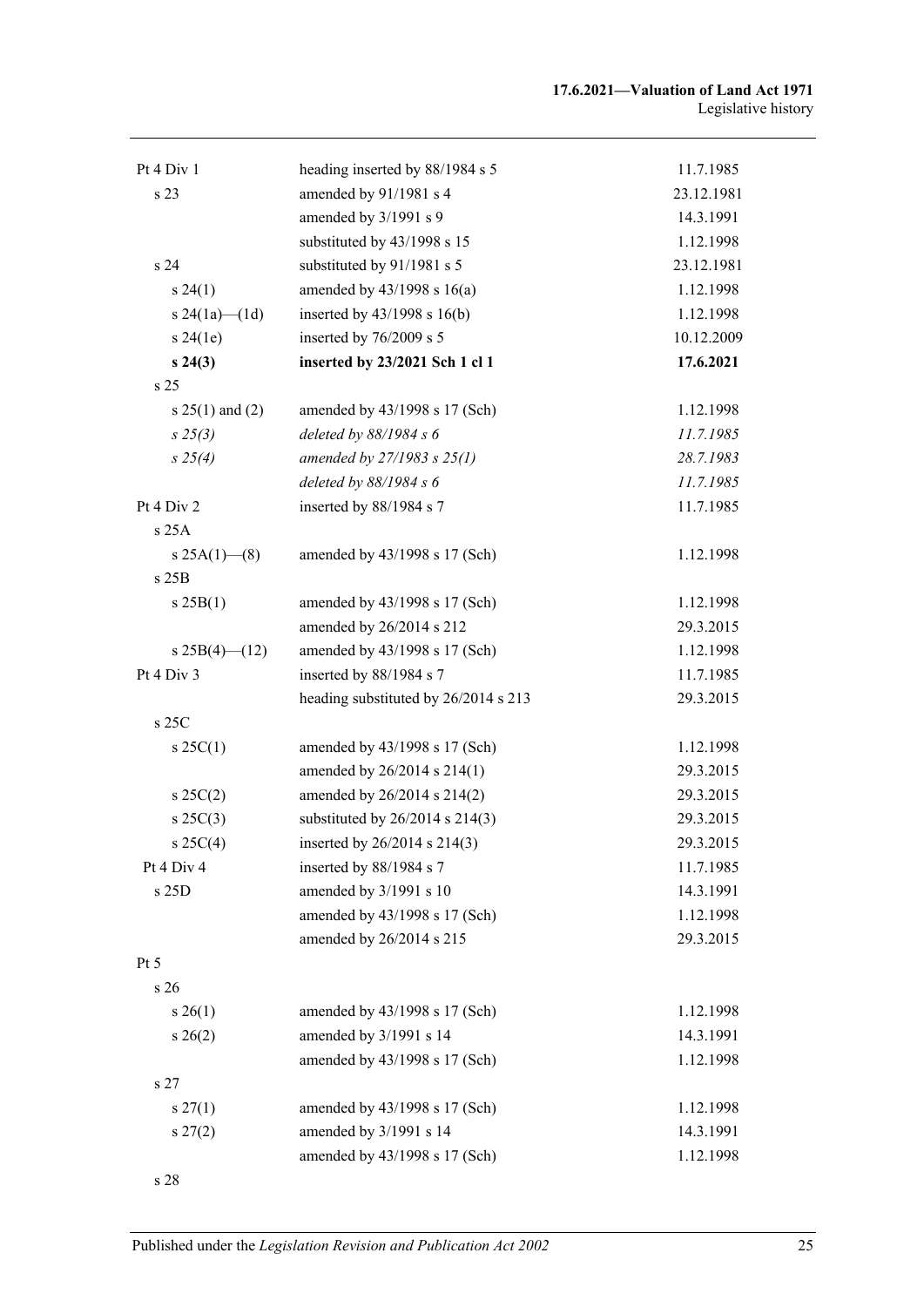| Pt 4 Div 1        | heading inserted by 88/1984 s 5      | 11.7.1985  |
|-------------------|--------------------------------------|------------|
| s 23              | amended by 91/1981 s 4               | 23.12.1981 |
|                   | amended by 3/1991 s 9                | 14.3.1991  |
|                   | substituted by 43/1998 s 15          | 1.12.1998  |
| s 24              | substituted by 91/1981 s 5           | 23.12.1981 |
| $s\,24(1)$        | amended by $43/1998$ s $16(a)$       | 1.12.1998  |
| s 24(1a)—(1d)     | inserted by $43/1998$ s $16(b)$      | 1.12.1998  |
| s 24(1e)          | inserted by 76/2009 s 5              | 10.12.2009 |
| $s\,24(3)$        | inserted by 23/2021 Sch 1 cl 1       | 17.6.2021  |
| s 25              |                                      |            |
| $s 25(1)$ and (2) | amended by 43/1998 s 17 (Sch)        | 1.12.1998  |
| $s\,25(3)$        | deleted by 88/1984 s 6               | 11.7.1985  |
| $s\,25(4)$        | amended by $27/1983 s 25(1)$         | 28.7.1983  |
|                   | deleted by $88/1984 s 6$             | 11.7.1985  |
| Pt 4 Div 2        | inserted by 88/1984 s 7              | 11.7.1985  |
| s 25A             |                                      |            |
| s $25A(1)$ (8)    | amended by 43/1998 s 17 (Sch)        | 1.12.1998  |
| s 25B             |                                      |            |
| s 25B(1)          | amended by 43/1998 s 17 (Sch)        | 1.12.1998  |
|                   | amended by 26/2014 s 212             | 29.3.2015  |
| s $25B(4)$ (12)   | amended by 43/1998 s 17 (Sch)        | 1.12.1998  |
| Pt 4 Div 3        | inserted by 88/1984 s 7              | 11.7.1985  |
|                   | heading substituted by 26/2014 s 213 | 29.3.2015  |
| s 25C             |                                      |            |
| $s \, 25C(1)$     | amended by 43/1998 s 17 (Sch)        | 1.12.1998  |
|                   | amended by 26/2014 s 214(1)          | 29.3.2015  |
| $s \, 25C(2)$     | amended by 26/2014 s 214(2)          | 29.3.2015  |
| $s \, 25C(3)$     | substituted by $26/2014$ s $214(3)$  | 29.3.2015  |
| $s \, 25C(4)$     | inserted by $26/2014$ s $214(3)$     | 29.3.2015  |
| Pt 4 Div 4        | inserted by 88/1984 s 7              | 11.7.1985  |
| s 25D             | amended by 3/1991 s 10               | 14.3.1991  |
|                   | amended by 43/1998 s 17 (Sch)        | 1.12.1998  |
|                   | amended by 26/2014 s 215             | 29.3.2015  |
| Pt <sub>5</sub>   |                                      |            |
| s 26              |                                      |            |
| $s \, 26(1)$      | amended by 43/1998 s 17 (Sch)        | 1.12.1998  |
| $s \; 26(2)$      | amended by 3/1991 s 14               | 14.3.1991  |
|                   | amended by 43/1998 s 17 (Sch)        | 1.12.1998  |
| s 27              |                                      |            |
| $s \, 27(1)$      | amended by 43/1998 s 17 (Sch)        | 1.12.1998  |
| $s\,27(2)$        | amended by 3/1991 s 14               | 14.3.1991  |
|                   | amended by 43/1998 s 17 (Sch)        | 1.12.1998  |
| s 28              |                                      |            |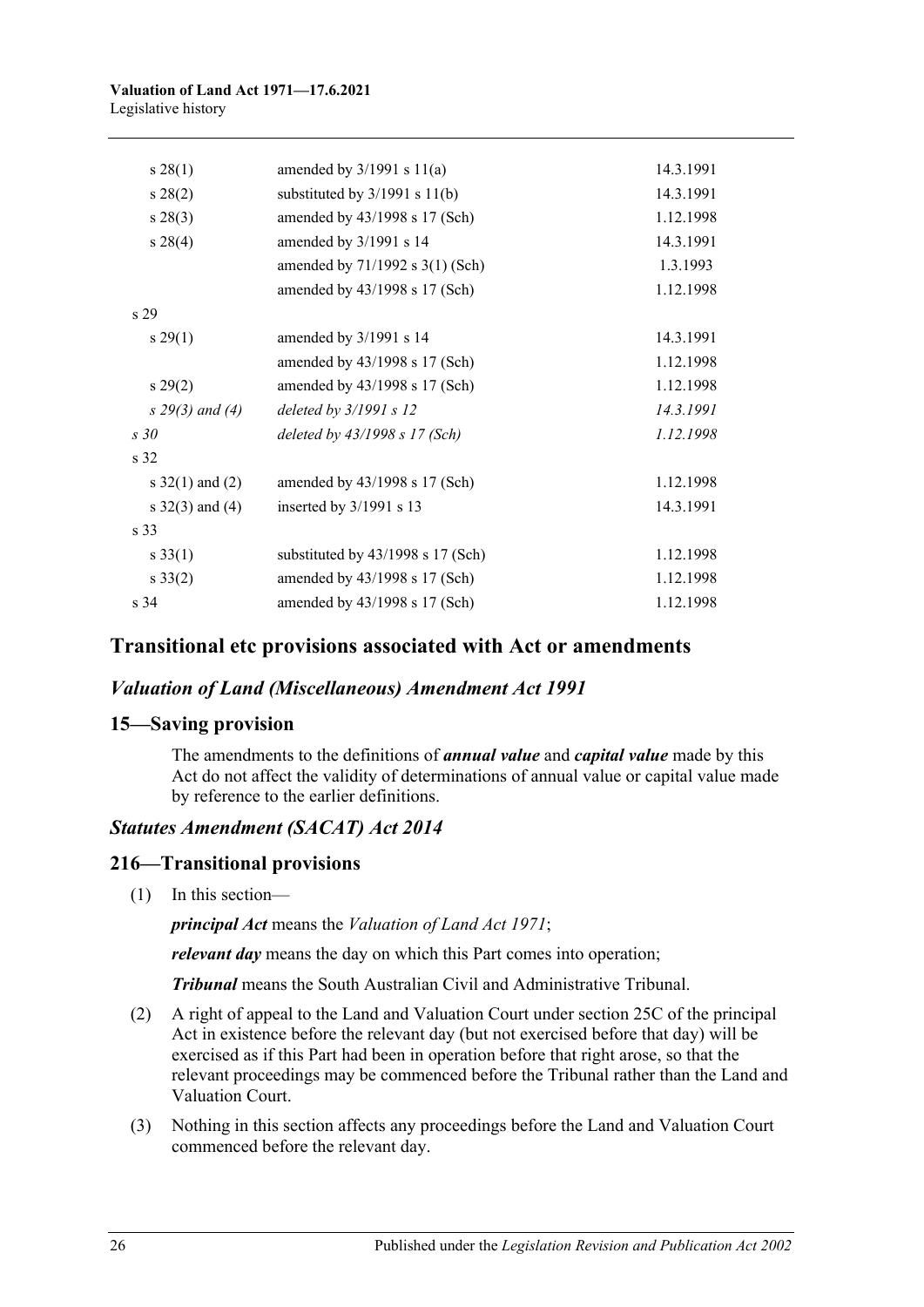#### **Valuation of Land Act 1971—17.6.2021** Legislative history

| $s\,28(1)$         | amended by $3/1991$ s $11(a)$     | 14.3.1991 |
|--------------------|-----------------------------------|-----------|
| $s\,28(2)$         | substituted by $3/1991$ s $11(b)$ | 14.3.1991 |
| $s\,28(3)$         | amended by 43/1998 s 17 (Sch)     | 1.12.1998 |
| $s\,28(4)$         | amended by 3/1991 s 14            | 14.3.1991 |
|                    | amended by 71/1992 s 3(1) (Sch)   | 1.3.1993  |
|                    | amended by 43/1998 s 17 (Sch)     | 1.12.1998 |
| s <sub>29</sub>    |                                   |           |
| $s\,29(1)$         | amended by 3/1991 s 14            | 14.3.1991 |
|                    | amended by 43/1998 s 17 (Sch)     | 1.12.1998 |
| $s\,29(2)$         | amended by 43/1998 s 17 (Sch)     | 1.12.1998 |
| $s\,29(3)$ and (4) | deleted by $3/1991 s 12$          | 14.3.1991 |
| s30                | deleted by $43/1998$ s 17 (Sch)   | 1.12.1998 |
| s <sub>32</sub>    |                                   |           |
| s $32(1)$ and (2)  | amended by 43/1998 s 17 (Sch)     | 1.12.1998 |
| s $32(3)$ and (4)  | inserted by 3/1991 s 13           | 14.3.1991 |
| s <sub>33</sub>    |                                   |           |
| $s \, 33(1)$       | substituted by 43/1998 s 17 (Sch) | 1.12.1998 |
| $s \, 33(2)$       | amended by 43/1998 s 17 (Sch)     | 1.12.1998 |
| s <sub>34</sub>    | amended by 43/1998 s 17 (Sch)     | 1.12.1998 |

## **Transitional etc provisions associated with Act or amendments**

### *Valuation of Land (Miscellaneous) Amendment Act 1991*

### **15—Saving provision**

The amendments to the definitions of *annual value* and *capital value* made by this Act do not affect the validity of determinations of annual value or capital value made by reference to the earlier definitions.

### *Statutes Amendment (SACAT) Act 2014*

### **216—Transitional provisions**

(1) In this section—

*principal Act* means the *[Valuation of Land Act](http://www.legislation.sa.gov.au/index.aspx?action=legref&type=act&legtitle=Valuation%20of%20Land%20Act%201971) 1971*;

*relevant day* means the day on which this Part comes into operation;

*Tribunal* means the South Australian Civil and Administrative Tribunal.

- (2) A right of appeal to the Land and Valuation Court under section 25C of the principal Act in existence before the relevant day (but not exercised before that day) will be exercised as if this Part had been in operation before that right arose, so that the relevant proceedings may be commenced before the Tribunal rather than the Land and Valuation Court.
- (3) Nothing in this section affects any proceedings before the Land and Valuation Court commenced before the relevant day.